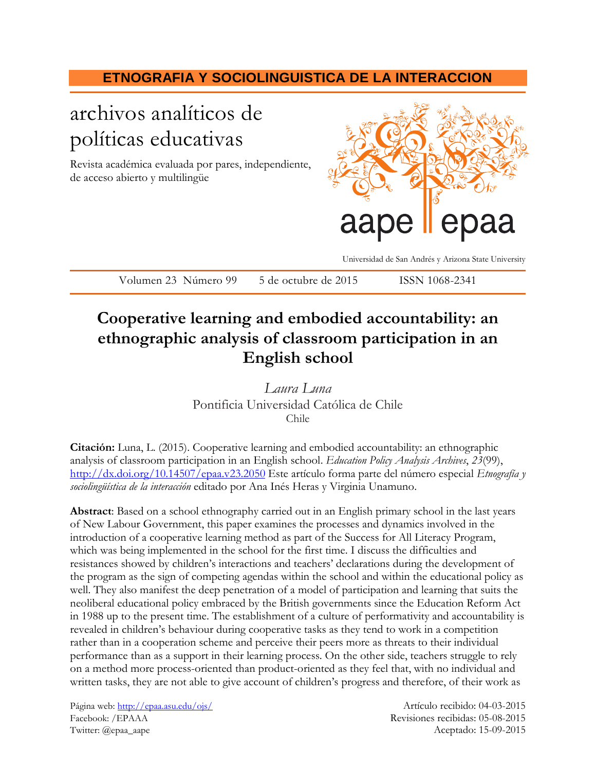## **ETNOGRAFIA Y SOCIOLINGUISTICA DE LA INTERACCION**

# archivos analíticos de políticas educativas

Revista académica evaluada por pares, independiente, de acceso abierto y multilingüe



Universidad de San Andrés y Arizona State University

Volumen 23 Número 99 5 de octubre de 2015 ISSN 1068-2341

## **Cooperative learning and embodied accountability: an ethnographic analysis of classroom participation in an English school**

*Laura Luna* Pontificia Universidad Católica de Chile Chile

**Citación:** Luna, L. (2015). Cooperative learning and embodied accountability: an ethnographic analysis of classroom participation in an English school. *Education Policy Analysis Archives*, *23*(99), <http://dx.doi.org/10.14507/epaa.v23.2050> Este artículo forma parte del número especial *Etnografía y sociolingüística de la interacción* editado por Ana Inés Heras y Virginia Unamuno.

**Abstract**: Based on a school ethnography carried out in an English primary school in the last years of New Labour Government, this paper examines the processes and dynamics involved in the introduction of a cooperative learning method as part of the Success for All Literacy Program, which was being implemented in the school for the first time. I discuss the difficulties and resistances showed by children's interactions and teachers' declarations during the development of the program as the sign of competing agendas within the school and within the educational policy as well. They also manifest the deep penetration of a model of participation and learning that suits the neoliberal educational policy embraced by the British governments since the Education Reform Act in 1988 up to the present time. The establishment of a culture of performativity and accountability is revealed in children's behaviour during cooperative tasks as they tend to work in a competition rather than in a cooperation scheme and perceive their peers more as threats to their individual performance than as a support in their learning process. On the other side, teachers struggle to rely on a method more process-oriented than product-oriented as they feel that, with no individual and written tasks, they are not able to give account of children's progress and therefore, of their work as

Página web[: http://epaa.asu.edu/ojs/](http://epaa.asu.edu/ojs/) Artículo recibido: 04-03-2015 Facebook: /EPAAA Revisiones recibidas: 05-08-2015 Twitter: @epaa\_aape Aceptado: 15-09-2015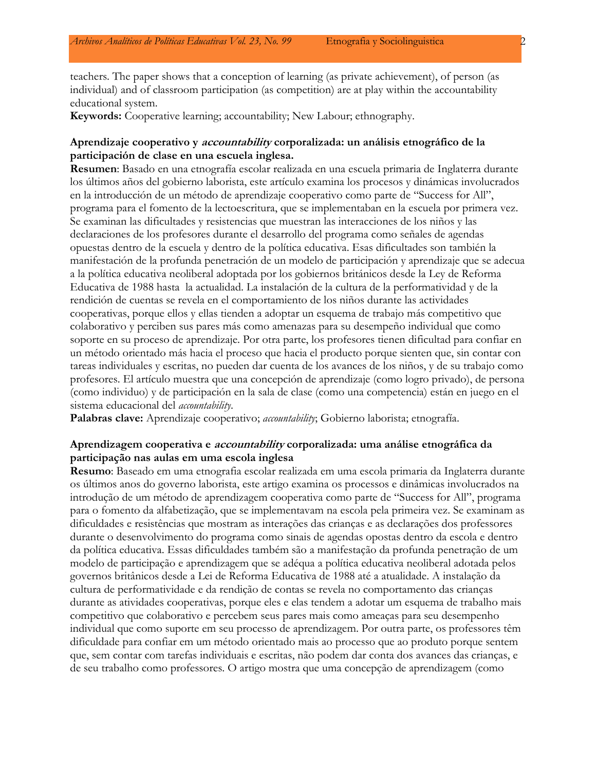teachers. The paper shows that a conception of learning (as private achievement), of person (as individual) and of classroom participation (as competition) are at play within the accountability educational system.

**Keywords:** Cooperative learning; accountability; New Labour; ethnography.

### **Aprendizaje cooperativo y accountability corporalizada: un análisis etnográfico de la participación de clase en una escuela inglesa.**

**Resumen**: Basado en una etnografía escolar realizada en una escuela primaria de Inglaterra durante los últimos años del gobierno laborista, este artículo examina los procesos y dinámicas involucrados en la introducción de un método de aprendizaje cooperativo como parte de "Success for All", programa para el fomento de la lectoescritura, que se implementaban en la escuela por primera vez. Se examinan las dificultades y resistencias que muestran las interacciones de los niños y las declaraciones de los profesores durante el desarrollo del programa como señales de agendas opuestas dentro de la escuela y dentro de la política educativa. Esas dificultades son también la manifestación de la profunda penetración de un modelo de participación y aprendizaje que se adecua a la política educativa neoliberal adoptada por los gobiernos británicos desde la Ley de Reforma Educativa de 1988 hasta la actualidad. La instalación de la cultura de la performatividad y de la rendición de cuentas se revela en el comportamiento de los niños durante las actividades cooperativas, porque ellos y ellas tienden a adoptar un esquema de trabajo más competitivo que colaborativo y perciben sus pares más como amenazas para su desempeño individual que como soporte en su proceso de aprendizaje. Por otra parte, los profesores tienen dificultad para confiar en un método orientado más hacia el proceso que hacia el producto porque sienten que, sin contar con tareas individuales y escritas, no pueden dar cuenta de los avances de los niños, y de su trabajo como profesores. El artículo muestra que una concepción de aprendizaje (como logro privado), de persona (como individuo) y de participación en la sala de clase (como una competencia) están en juego en el sistema educacional del *accountability*.

**Palabras clave:** Aprendizaje cooperativo; *accountability*; Gobierno laborista; etnografía.

## **Aprendizagem cooperativa e accountability corporalizada: uma análise etnográfica da participação nas aulas em uma escola inglesa**

**Resumo**: Baseado em uma etnografia escolar realizada em uma escola primaria da Inglaterra durante os últimos anos do governo laborista, este artigo examina os processos e dinâmicas involucrados na introdução de um método de aprendizagem cooperativa como parte de "Success for All", programa para o fomento da alfabetização, que se implementavam na escola pela primeira vez. Se examinam as dificuldades e resistências que mostram as interações das crianças e as declarações dos professores durante o desenvolvimento do programa como sinais de agendas opostas dentro da escola e dentro da política educativa. Essas dificuldades também são a manifestação da profunda penetração de um modelo de participação e aprendizagem que se adéqua a política educativa neoliberal adotada pelos governos britânicos desde a Lei de Reforma Educativa de 1988 até a atualidade. A instalação da cultura de performatividade e da rendição de contas se revela no comportamento das crianças durante as atividades cooperativas, porque eles e elas tendem a adotar um esquema de trabalho mais competitivo que colaborativo e percebem seus pares mais como ameaças para seu desempenho individual que como suporte em seu processo de aprendizagem. Por outra parte, os professores têm dificuldade para confiar em um método orientado mais ao processo que ao produto porque sentem que, sem contar com tarefas individuais e escritas, não podem dar conta dos avances das crianças, e de seu trabalho como professores. O artigo mostra que uma concepção de aprendizagem (como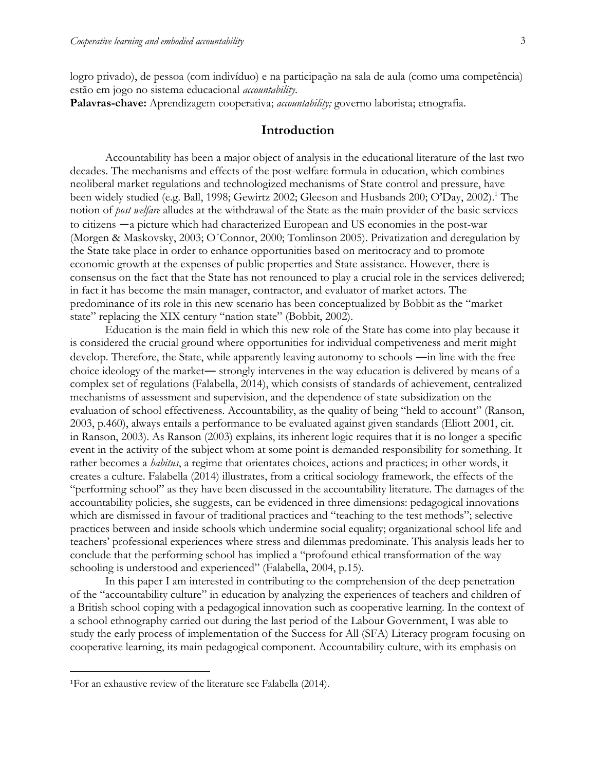logro privado), de pessoa (com indivíduo) e na participação na sala de aula (como uma competência) estão em jogo no sistema educacional *accountability*.

**Palavras-chave:** Aprendizagem cooperativa; *accountability;* governo laborista; etnografia.

## **Introduction**

Accountability has been a major object of analysis in the educational literature of the last two decades. The mechanisms and effects of the post-welfare formula in education, which combines neoliberal market regulations and technologized mechanisms of State control and pressure, have been widely studied (e.g. Ball, 1998; Gewirtz 2002; Gleeson and Husbands 200; O'Day, 2002). <sup>1</sup> The notion of *post welfare* alludes at the withdrawal of the State as the main provider of the basic services to citizens —a picture which had characterized European and US economies in the post-war (Morgen & Maskovsky, 2003; O´Connor, 2000; Tomlinson 2005). Privatization and deregulation by the State take place in order to enhance opportunities based on meritocracy and to promote economic growth at the expenses of public properties and State assistance. However, there is consensus on the fact that the State has not renounced to play a crucial role in the services delivered; in fact it has become the main manager, contractor, and evaluator of market actors. The predominance of its role in this new scenario has been conceptualized by Bobbit as the "market state" replacing the XIX century "nation state" (Bobbit, 2002).

Education is the main field in which this new role of the State has come into play because it is considered the crucial ground where opportunities for individual competiveness and merit might develop. Therefore, the State, while apparently leaving autonomy to schools ―in line with the free choice ideology of the market― strongly intervenes in the way education is delivered by means of a complex set of regulations (Falabella, 2014), which consists of standards of achievement, centralized mechanisms of assessment and supervision, and the dependence of state subsidization on the evaluation of school effectiveness. Accountability, as the quality of being "held to account" (Ranson, 2003, p.460), always entails a performance to be evaluated against given standards (Eliott 2001, cit. in Ranson, 2003). As Ranson (2003) explains, its inherent logic requires that it is no longer a specific event in the activity of the subject whom at some point is demanded responsibility for something. It rather becomes a *habitus*, a regime that orientates choices, actions and practices; in other words, it creates a culture. Falabella (2014) illustrates, from a critical sociology framework, the effects of the "performing school" as they have been discussed in the accountability literature. The damages of the accountability policies, she suggests, can be evidenced in three dimensions: pedagogical innovations which are dismissed in favour of traditional practices and "teaching to the test methods"; selective practices between and inside schools which undermine social equality; organizational school life and teachers' professional experiences where stress and dilemmas predominate. This analysis leads her to conclude that the performing school has implied a "profound ethical transformation of the way schooling is understood and experienced" (Falabella, 2004, p.15).

In this paper I am interested in contributing to the comprehension of the deep penetration of the "accountability culture" in education by analyzing the experiences of teachers and children of a British school coping with a pedagogical innovation such as cooperative learning. In the context of a school ethnography carried out during the last period of the Labour Government, I was able to study the early process of implementation of the Success for All (SFA) Literacy program focusing on cooperative learning, its main pedagogical component. Accountability culture, with its emphasis on

 $\overline{a}$ 

<sup>1</sup>For an exhaustive review of the literature see Falabella (2014).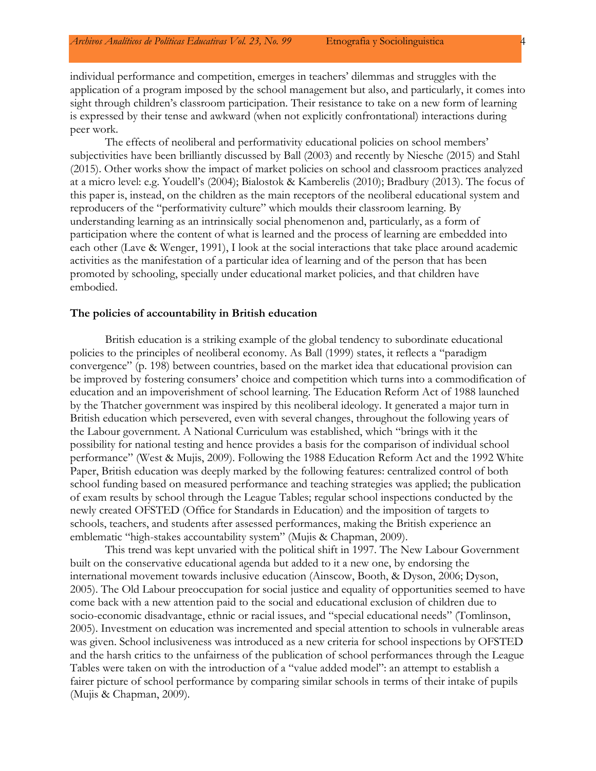individual performance and competition, emerges in teachers' dilemmas and struggles with the application of a program imposed by the school management but also, and particularly, it comes into sight through children's classroom participation. Their resistance to take on a new form of learning is expressed by their tense and awkward (when not explicitly confrontational) interactions during peer work.

The effects of neoliberal and performativity educational policies on school members' subjectivities have been brilliantly discussed by Ball (2003) and recently by Niesche (2015) and Stahl (2015). Other works show the impact of market policies on school and classroom practices analyzed at a micro level: e.g. Youdell's (2004); Bialostok & Kamberelis (2010); Bradbury (2013). The focus of this paper is, instead, on the children as the main receptors of the neoliberal educational system and reproducers of the "performativity culture" which moulds their classroom learning. By understanding learning as an intrinsically social phenomenon and, particularly, as a form of participation where the content of what is learned and the process of learning are embedded into each other (Lave & Wenger, 1991), I look at the social interactions that take place around academic activities as the manifestation of a particular idea of learning and of the person that has been promoted by schooling, specially under educational market policies, and that children have embodied.

#### **The policies of accountability in British education**

British education is a striking example of the global tendency to subordinate educational policies to the principles of neoliberal economy. As Ball (1999) states, it reflects a "paradigm convergence" (p. 198) between countries, based on the market idea that educational provision can be improved by fostering consumers' choice and competition which turns into a commodification of education and an impoverishment of school learning. The Education Reform Act of 1988 launched by the Thatcher government was inspired by this neoliberal ideology. It generated a major turn in British education which persevered, even with several changes, throughout the following years of the Labour government. A National Curriculum was established, which "brings with it the possibility for national testing and hence provides a basis for the comparison of individual school performance" (West & Mujis, 2009). Following the 1988 Education Reform Act and the 1992 White Paper, British education was deeply marked by the following features: centralized control of both school funding based on measured performance and teaching strategies was applied; the publication of exam results by school through the League Tables; regular school inspections conducted by the newly created OFSTED (Office for Standards in Education) and the imposition of targets to schools, teachers, and students after assessed performances, making the British experience an emblematic "high-stakes accountability system" (Mujis & Chapman, 2009).

This trend was kept unvaried with the political shift in 1997. The New Labour Government built on the conservative educational agenda but added to it a new one, by endorsing the international movement towards inclusive education (Ainscow, Booth, & Dyson, 2006; Dyson, 2005). The Old Labour preoccupation for social justice and equality of opportunities seemed to have come back with a new attention paid to the social and educational exclusion of children due to socio-economic disadvantage, ethnic or racial issues, and "special educational needs" (Tomlinson, 2005). Investment on education was incremented and special attention to schools in vulnerable areas was given. School inclusiveness was introduced as a new criteria for school inspections by OFSTED and the harsh critics to the unfairness of the publication of school performances through the League Tables were taken on with the introduction of a "value added model": an attempt to establish a fairer picture of school performance by comparing similar schools in terms of their intake of pupils (Mujis & Chapman, 2009).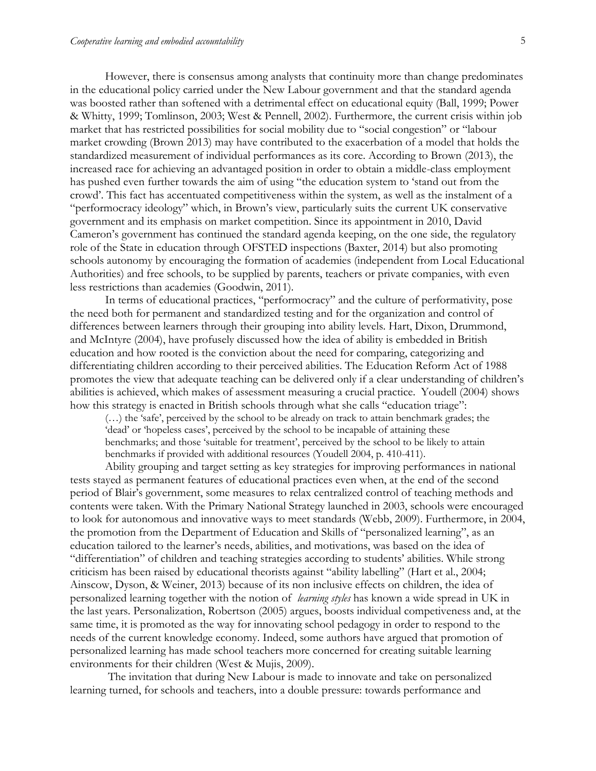However, there is consensus among analysts that continuity more than change predominates in the educational policy carried under the New Labour government and that the standard agenda was boosted rather than softened with a detrimental effect on educational equity (Ball, 1999; Power & Whitty, 1999; Tomlinson, 2003; West & Pennell, 2002). Furthermore, the current crisis within job market that has restricted possibilities for social mobility due to "social congestion" or "labour market crowding (Brown 2013) may have contributed to the exacerbation of a model that holds the standardized measurement of individual performances as its core. According to Brown (2013), the increased race for achieving an advantaged position in order to obtain a middle-class employment has pushed even further towards the aim of using "the education system to 'stand out from the crowd'. This fact has accentuated competitiveness within the system, as well as the instalment of a "performocracy ideology" which, in Brown's view, particularly suits the current UK conservative government and its emphasis on market competition. Since its appointment in 2010, David Cameron's government has continued the standard agenda keeping, on the one side, the regulatory role of the State in education through OFSTED inspections (Baxter, 2014) but also promoting schools autonomy by encouraging the formation of academies (independent from Local Educational Authorities) and free schools, to be supplied by parents, teachers or private companies, with even less restrictions than academies (Goodwin, 2011).

In terms of educational practices, "performocracy" and the culture of performativity, pose the need both for permanent and standardized testing and for the organization and control of differences between learners through their grouping into ability levels. Hart, Dixon, Drummond, and McIntyre (2004), have profusely discussed how the idea of ability is embedded in British education and how rooted is the conviction about the need for comparing, categorizing and differentiating children according to their perceived abilities. The Education Reform Act of 1988 promotes the view that adequate teaching can be delivered only if a clear understanding of children's abilities is achieved, which makes of assessment measuring a crucial practice. Youdell (2004) shows how this strategy is enacted in British schools through what she calls "education triage":

(…) the 'safe', perceived by the school to be already on track to attain benchmark grades; the 'dead' or 'hopeless cases', perceived by the school to be incapable of attaining these benchmarks; and those 'suitable for treatment', perceived by the school to be likely to attain benchmarks if provided with additional resources (Youdell 2004, p. 410-411).

Ability grouping and target setting as key strategies for improving performances in national tests stayed as permanent features of educational practices even when, at the end of the second period of Blair's government, some measures to relax centralized control of teaching methods and contents were taken. With the Primary National Strategy launched in 2003, schools were encouraged to look for autonomous and innovative ways to meet standards (Webb, 2009). Furthermore, in 2004, the promotion from the Department of Education and Skills of "personalized learning", as an education tailored to the learner's needs, abilities, and motivations, was based on the idea of "differentiation" of children and teaching strategies according to students' abilities. While strong criticism has been raised by educational theorists against "ability labelling" (Hart et al., 2004; Ainscow, Dyson, & Weiner, 2013) because of its non inclusive effects on children, the idea of personalized learning together with the notion of *learning styles* has known a wide spread in UK in the last years. Personalization, Robertson (2005) argues, boosts individual competiveness and, at the same time, it is promoted as the way for innovating school pedagogy in order to respond to the needs of the current knowledge economy. Indeed, some authors have argued that promotion of personalized learning has made school teachers more concerned for creating suitable learning environments for their children (West & Mujis, 2009).

The invitation that during New Labour is made to innovate and take on personalized learning turned, for schools and teachers, into a double pressure: towards performance and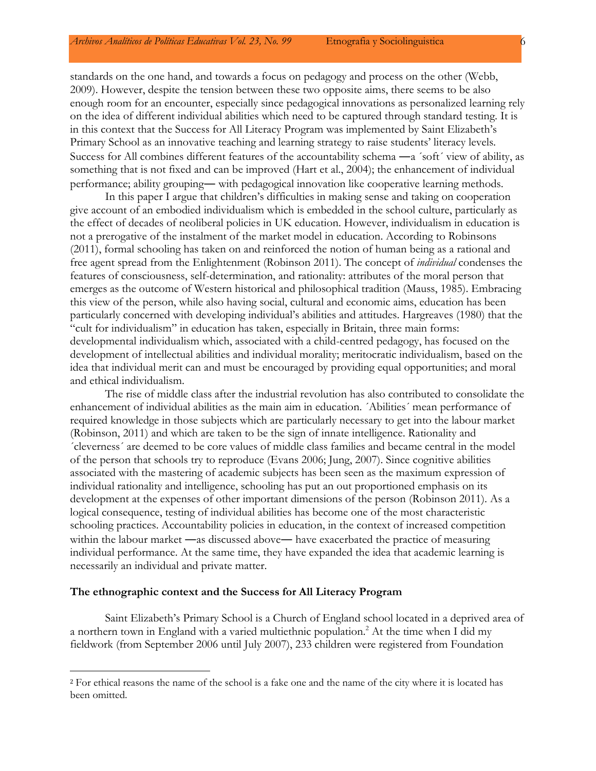standards on the one hand, and towards a focus on pedagogy and process on the other (Webb, 2009). However, despite the tension between these two opposite aims, there seems to be also enough room for an encounter, especially since pedagogical innovations as personalized learning rely on the idea of different individual abilities which need to be captured through standard testing. It is in this context that the Success for All Literacy Program was implemented by Saint Elizabeth's Primary School as an innovative teaching and learning strategy to raise students' literacy levels. Success for All combines different features of the accountability schema ―a ´soft´ view of ability, as something that is not fixed and can be improved (Hart et al., 2004); the enhancement of individual performance; ability grouping― with pedagogical innovation like cooperative learning methods.

In this paper I argue that children's difficulties in making sense and taking on cooperation give account of an embodied individualism which is embedded in the school culture, particularly as the effect of decades of neoliberal policies in UK education. However, individualism in education is not a prerogative of the instalment of the market model in education. According to Robinsons (2011), formal schooling has taken on and reinforced the notion of human being as a rational and free agent spread from the Enlightenment (Robinson 2011). The concept of *individual* condenses the features of consciousness, self-determination, and rationality: attributes of the moral person that emerges as the outcome of Western historical and philosophical tradition (Mauss, 1985). Embracing this view of the person, while also having social, cultural and economic aims, education has been particularly concerned with developing individual's abilities and attitudes. Hargreaves (1980) that the "cult for individualism" in education has taken, especially in Britain, three main forms: developmental individualism which, associated with a child-centred pedagogy, has focused on the development of intellectual abilities and individual morality; meritocratic individualism, based on the idea that individual merit can and must be encouraged by providing equal opportunities; and moral and ethical individualism.

The rise of middle class after the industrial revolution has also contributed to consolidate the enhancement of individual abilities as the main aim in education. ´Abilities´ mean performance of required knowledge in those subjects which are particularly necessary to get into the labour market (Robinson, 2011) and which are taken to be the sign of innate intelligence. Rationality and ´cleverness´ are deemed to be core values of middle class families and became central in the model of the person that schools try to reproduce (Evans 2006; Jung, 2007). Since cognitive abilities associated with the mastering of academic subjects has been seen as the maximum expression of individual rationality and intelligence, schooling has put an out proportioned emphasis on its development at the expenses of other important dimensions of the person (Robinson 2011). As a logical consequence, testing of individual abilities has become one of the most characteristic schooling practices. Accountability policies in education, in the context of increased competition within the labour market —as discussed above— have exacerbated the practice of measuring individual performance. At the same time, they have expanded the idea that academic learning is necessarily an individual and private matter.

#### **The ethnographic context and the Success for All Literacy Program**

 $\overline{a}$ 

Saint Elizabeth's Primary School is a Church of England school located in a deprived area of a northern town in England with a varied multiethnic population.<sup>2</sup> At the time when I did my fieldwork (from September 2006 until July 2007), 233 children were registered from Foundation

<sup>&</sup>lt;sup>2</sup> For ethical reasons the name of the school is a fake one and the name of the city where it is located has been omitted.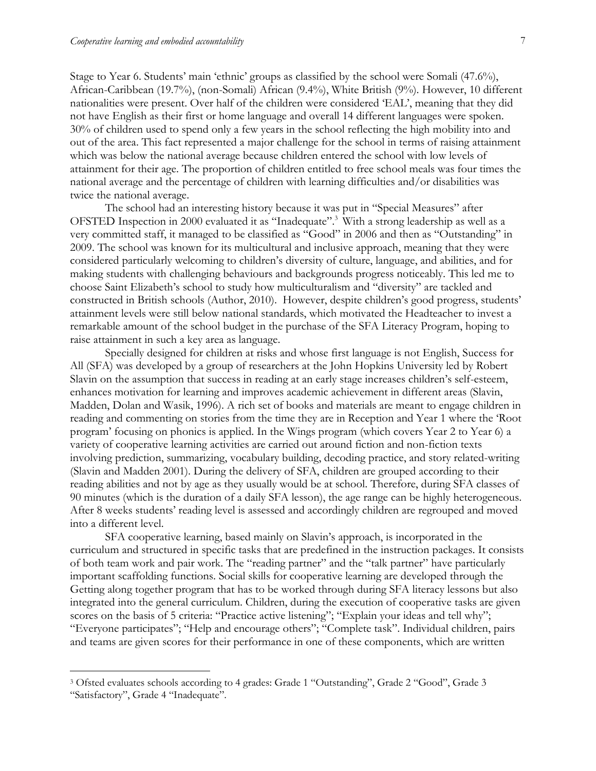Stage to Year 6. Students' main 'ethnic' groups as classified by the school were Somali (47.6%), African-Caribbean (19.7%), (non-Somali) African (9.4%), White British (9%). However, 10 different nationalities were present. Over half of the children were considered 'EAL', meaning that they did not have English as their first or home language and overall 14 different languages were spoken. 30% of children used to spend only a few years in the school reflecting the high mobility into and out of the area. This fact represented a major challenge for the school in terms of raising attainment which was below the national average because children entered the school with low levels of attainment for their age. The proportion of children entitled to free school meals was four times the national average and the percentage of children with learning difficulties and/or disabilities was twice the national average.

The school had an interesting history because it was put in "Special Measures" after OFSTED Inspection in 2000 evaluated it as "Inadequate".<sup>3</sup> With a strong leadership as well as a very committed staff, it managed to be classified as "Good" in 2006 and then as "Outstanding" in 2009. The school was known for its multicultural and inclusive approach, meaning that they were considered particularly welcoming to children's diversity of culture, language, and abilities, and for making students with challenging behaviours and backgrounds progress noticeably. This led me to choose Saint Elizabeth's school to study how multiculturalism and "diversity" are tackled and constructed in British schools (Author, 2010). However, despite children's good progress, students' attainment levels were still below national standards, which motivated the Headteacher to invest a remarkable amount of the school budget in the purchase of the SFA Literacy Program, hoping to raise attainment in such a key area as language.

Specially designed for children at risks and whose first language is not English, Success for All (SFA) was developed by a group of researchers at the John Hopkins University led by Robert Slavin on the assumption that success in reading at an early stage increases children's self-esteem, enhances motivation for learning and improves academic achievement in different areas (Slavin, Madden, Dolan and Wasik, 1996). A rich set of books and materials are meant to engage children in reading and commenting on stories from the time they are in Reception and Year 1 where the 'Root program' focusing on phonics is applied. In the Wings program (which covers Year 2 to Year 6) a variety of cooperative learning activities are carried out around fiction and non-fiction texts involving prediction, summarizing, vocabulary building, decoding practice, and story related-writing (Slavin and Madden 2001). During the delivery of SFA, children are grouped according to their reading abilities and not by age as they usually would be at school. Therefore, during SFA classes of 90 minutes (which is the duration of a daily SFA lesson), the age range can be highly heterogeneous. After 8 weeks students' reading level is assessed and accordingly children are regrouped and moved into a different level.

SFA cooperative learning, based mainly on Slavin's approach, is incorporated in the curriculum and structured in specific tasks that are predefined in the instruction packages. It consists of both team work and pair work. The "reading partner" and the "talk partner" have particularly important scaffolding functions. Social skills for cooperative learning are developed through the Getting along together program that has to be worked through during SFA literacy lessons but also integrated into the general curriculum. Children, during the execution of cooperative tasks are given scores on the basis of 5 criteria: "Practice active listening"; "Explain your ideas and tell why"; "Everyone participates"; "Help and encourage others"; "Complete task". Individual children, pairs and teams are given scores for their performance in one of these components, which are written

 $\overline{a}$ 

<sup>3</sup> Ofsted evaluates schools according to 4 grades: Grade 1 "Outstanding", Grade 2 "Good", Grade 3 "Satisfactory", Grade 4 "Inadequate".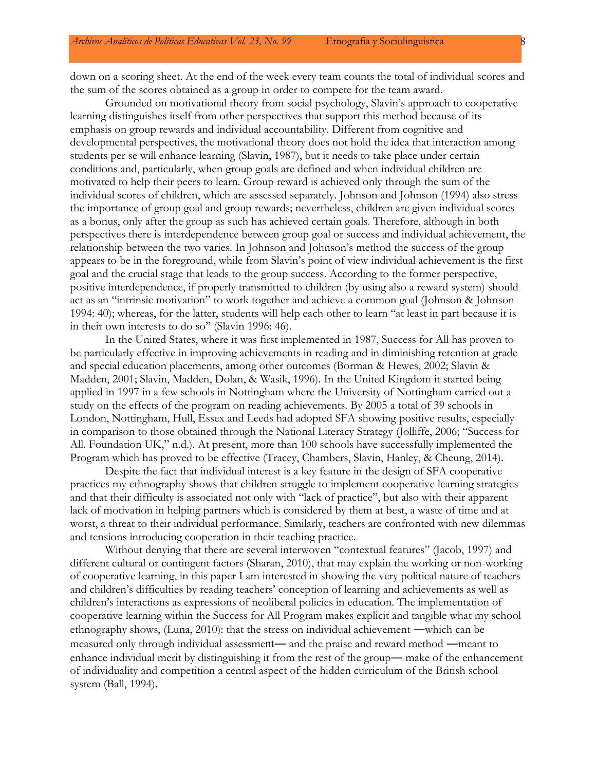down on a scoring sheet. At the end of the week every team counts the total of individual scores and the sum of the scores obtained as a group in order to compete for the team award.

Grounded on motivational theory from social psychology, Slavin's approach to cooperative learning distinguishes itself from other perspectives that support this method because of its emphasis on group rewards and individual accountability. Different from cognitive and developmental perspectives, the motivational theory does not hold the idea that interaction among students per se will enhance learning (Slavin, 1987), but it needs to take place under certain conditions and, particularly, when group goals are defined and when individual children are motivated to help their peers to learn. Group reward is achieved only through the sum of the individual scores of children, which are assessed separately. Johnson and Johnson (1994) also stress the importance of group goal and group rewards; nevertheless, children are given individual scores as a bonus, only after the group as such has achieved certain goals. Therefore, although in both perspectives there is interdependence between group goal or success and individual achievement, the relationship between the two varies. In Johnson and Johnson's method the success of the group appears to be in the foreground, while from Slavin's point of view individual achievement is the first goal and the crucial stage that leads to the group success. According to the former perspective, positive interdependence, if properly transmitted to children (by using also a reward system) should act as an "intrinsic motivation" to work together and achieve a common goal (Johnson & Johnson 1994: 40); whereas, for the latter, students will help each other to learn "at least in part because it is in their own interests to do so" (Slavin 1996: 46).

In the United States, where it was first implemented in 1987, Success for All has proven to be particularly effective in improving achievements in reading and in diminishing retention at grade and special education placements, among other outcomes (Borman & Hewes, 2002; Slavin & Madden, 2001; Slavin, Madden, Dolan, & Wasik, 1996). In the United Kingdom it started being applied in 1997 in a few schools in Nottingham where the University of Nottingham carried out a study on the effects of the program on reading achievements. By 2005 a total of 39 schools in London, Nottingham, Hull, Essex and Leeds had adopted SFA showing positive results, especially in comparison to those obtained through the National Literacy Strategy (Jolliffe, 2006; "Success for All. Foundation UK," n.d.). At present, more than 100 schools have successfully implemented the Program which has proved to be effective (Tracey, Chambers, Slavin, Hanley, & Cheung, 2014).

Despite the fact that individual interest is a key feature in the design of SFA cooperative practices my ethnography shows that children struggle to implement cooperative learning strategies and that their difficulty is associated not only with "lack of practice", but also with their apparent lack of motivation in helping partners which is considered by them at best, a waste of time and at worst, a threat to their individual performance. Similarly, teachers are confronted with new dilemmas and tensions introducing cooperation in their teaching practice.

Without denying that there are several interwoven "contextual features" (Jacob, 1997) and different cultural or contingent factors (Sharan, 2010), that may explain the working or non-working of cooperative learning, in this paper I am interested in showing the very political nature of teachers and children's difficulties by reading teachers' conception of learning and achievements as well as children's interactions as expressions of neoliberal policies in education. The implementation of cooperative learning within the Success for All Program makes explicit and tangible what my school ethnography shows, (Luna, 2010): that the stress on individual achievement ―which can be measured only through individual assessment― and the praise and reward method ―meant to enhance individual merit by distinguishing it from the rest of the group― make of the enhancement of individuality and competition a central aspect of the hidden curriculum of the British school system (Ball, 1994).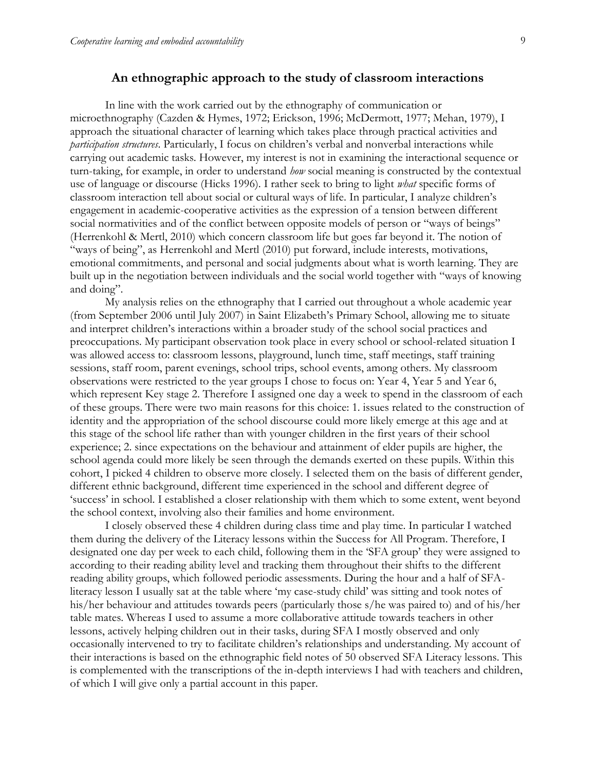### **An ethnographic approach to the study of classroom interactions**

In line with the work carried out by the ethnography of communication or microethnography (Cazden & Hymes, 1972; Erickson, 1996; McDermott, 1977; Mehan, 1979), I approach the situational character of learning which takes place through practical activities and *participation structures*. Particularly, I focus on children's verbal and nonverbal interactions while carrying out academic tasks. However, my interest is not in examining the interactional sequence or turn-taking, for example, in order to understand *how* social meaning is constructed by the contextual use of language or discourse (Hicks 1996). I rather seek to bring to light *what* specific forms of classroom interaction tell about social or cultural ways of life. In particular, I analyze children's engagement in academic-cooperative activities as the expression of a tension between different social normativities and of the conflict between opposite models of person or "ways of beings" (Herrenkohl & Mertl, 2010) which concern classroom life but goes far beyond it. The notion of "ways of being", as Herrenkohl and Mertl (2010) put forward, include interests, motivations, emotional commitments, and personal and social judgments about what is worth learning. They are built up in the negotiation between individuals and the social world together with "ways of knowing and doing".

My analysis relies on the ethnography that I carried out throughout a whole academic year (from September 2006 until July 2007) in Saint Elizabeth's Primary School, allowing me to situate and interpret children's interactions within a broader study of the school social practices and preoccupations. My participant observation took place in every school or school-related situation I was allowed access to: classroom lessons, playground, lunch time, staff meetings, staff training sessions, staff room, parent evenings, school trips, school events, among others. My classroom observations were restricted to the year groups I chose to focus on: Year 4, Year 5 and Year 6, which represent Key stage 2. Therefore I assigned one day a week to spend in the classroom of each of these groups. There were two main reasons for this choice: 1. issues related to the construction of identity and the appropriation of the school discourse could more likely emerge at this age and at this stage of the school life rather than with younger children in the first years of their school experience; 2. since expectations on the behaviour and attainment of elder pupils are higher, the school agenda could more likely be seen through the demands exerted on these pupils. Within this cohort, I picked 4 children to observe more closely. I selected them on the basis of different gender, different ethnic background, different time experienced in the school and different degree of 'success' in school. I established a closer relationship with them which to some extent, went beyond the school context, involving also their families and home environment.

I closely observed these 4 children during class time and play time. In particular I watched them during the delivery of the Literacy lessons within the Success for All Program. Therefore, I designated one day per week to each child, following them in the 'SFA group' they were assigned to according to their reading ability level and tracking them throughout their shifts to the different reading ability groups, which followed periodic assessments. During the hour and a half of SFAliteracy lesson I usually sat at the table where 'my case-study child' was sitting and took notes of his/her behaviour and attitudes towards peers (particularly those s/he was paired to) and of his/her table mates. Whereas I used to assume a more collaborative attitude towards teachers in other lessons, actively helping children out in their tasks, during SFA I mostly observed and only occasionally intervened to try to facilitate children's relationships and understanding. My account of their interactions is based on the ethnographic field notes of 50 observed SFA Literacy lessons. This is complemented with the transcriptions of the in-depth interviews I had with teachers and children, of which I will give only a partial account in this paper.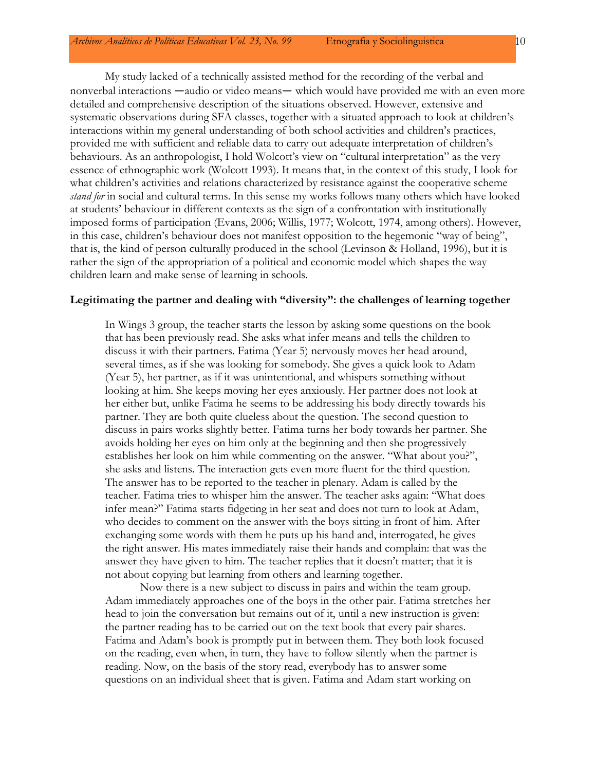My study lacked of a technically assisted method for the recording of the verbal and nonverbal interactions —audio or video means— which would have provided me with an even more detailed and comprehensive description of the situations observed. However, extensive and systematic observations during SFA classes, together with a situated approach to look at children's interactions within my general understanding of both school activities and children's practices, provided me with sufficient and reliable data to carry out adequate interpretation of children's behaviours. As an anthropologist, I hold Wolcott's view on "cultural interpretation" as the very essence of ethnographic work (Wolcott 1993). It means that, in the context of this study, I look for what children's activities and relations characterized by resistance against the cooperative scheme *stand for* in social and cultural terms. In this sense my works follows many others which have looked at students' behaviour in different contexts as the sign of a confrontation with institutionally imposed forms of participation (Evans, 2006; Willis, 1977; Wolcott, 1974, among others). However, in this case, children's behaviour does not manifest opposition to the hegemonic "way of being", that is, the kind of person culturally produced in the school (Levinson & Holland, 1996), but it is rather the sign of the appropriation of a political and economic model which shapes the way children learn and make sense of learning in schools.

### **Legitimating the partner and dealing with "diversity": the challenges of learning together**

In Wings 3 group, the teacher starts the lesson by asking some questions on the book that has been previously read. She asks what infer means and tells the children to discuss it with their partners. Fatima (Year 5) nervously moves her head around, several times, as if she was looking for somebody. She gives a quick look to Adam (Year 5), her partner, as if it was unintentional, and whispers something without looking at him. She keeps moving her eyes anxiously. Her partner does not look at her either but, unlike Fatima he seems to be addressing his body directly towards his partner. They are both quite clueless about the question. The second question to discuss in pairs works slightly better. Fatima turns her body towards her partner. She avoids holding her eyes on him only at the beginning and then she progressively establishes her look on him while commenting on the answer. "What about you?", she asks and listens. The interaction gets even more fluent for the third question. The answer has to be reported to the teacher in plenary. Adam is called by the teacher. Fatima tries to whisper him the answer. The teacher asks again: "What does infer mean?" Fatima starts fidgeting in her seat and does not turn to look at Adam, who decides to comment on the answer with the boys sitting in front of him. After exchanging some words with them he puts up his hand and, interrogated, he gives the right answer. His mates immediately raise their hands and complain: that was the answer they have given to him. The teacher replies that it doesn't matter; that it is not about copying but learning from others and learning together.

Now there is a new subject to discuss in pairs and within the team group. Adam immediately approaches one of the boys in the other pair. Fatima stretches her head to join the conversation but remains out of it, until a new instruction is given: the partner reading has to be carried out on the text book that every pair shares. Fatima and Adam's book is promptly put in between them. They both look focused on the reading, even when, in turn, they have to follow silently when the partner is reading. Now, on the basis of the story read, everybody has to answer some questions on an individual sheet that is given. Fatima and Adam start working on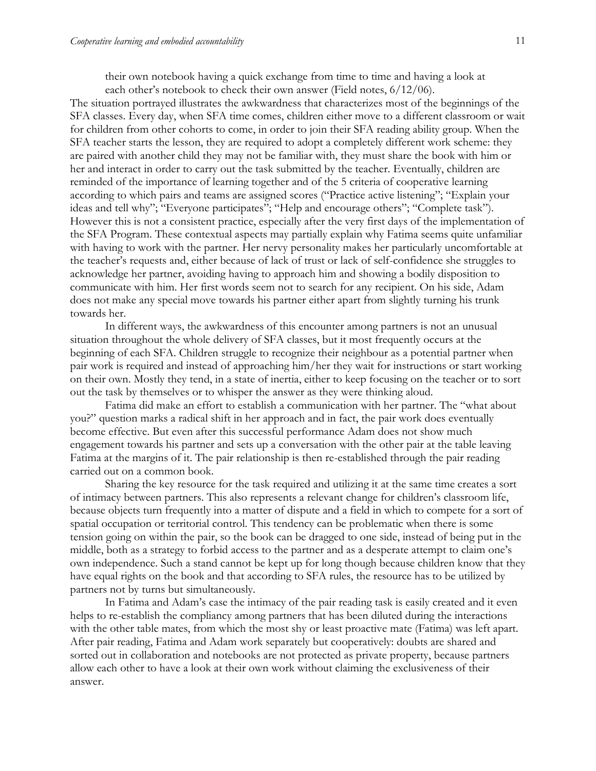their own notebook having a quick exchange from time to time and having a look at each other's notebook to check their own answer (Field notes,  $6/12/06$ ).

The situation portrayed illustrates the awkwardness that characterizes most of the beginnings of the SFA classes. Every day, when SFA time comes, children either move to a different classroom or wait for children from other cohorts to come, in order to join their SFA reading ability group. When the SFA teacher starts the lesson, they are required to adopt a completely different work scheme: they are paired with another child they may not be familiar with, they must share the book with him or her and interact in order to carry out the task submitted by the teacher. Eventually, children are reminded of the importance of learning together and of the 5 criteria of cooperative learning according to which pairs and teams are assigned scores ("Practice active listening"; "Explain your ideas and tell why"; "Everyone participates"; "Help and encourage others"; "Complete task"). However this is not a consistent practice, especially after the very first days of the implementation of the SFA Program. These contextual aspects may partially explain why Fatima seems quite unfamiliar with having to work with the partner. Her nervy personality makes her particularly uncomfortable at the teacher's requests and, either because of lack of trust or lack of self-confidence she struggles to acknowledge her partner, avoiding having to approach him and showing a bodily disposition to communicate with him. Her first words seem not to search for any recipient. On his side, Adam does not make any special move towards his partner either apart from slightly turning his trunk towards her.

In different ways, the awkwardness of this encounter among partners is not an unusual situation throughout the whole delivery of SFA classes, but it most frequently occurs at the beginning of each SFA. Children struggle to recognize their neighbour as a potential partner when pair work is required and instead of approaching him/her they wait for instructions or start working on their own. Mostly they tend, in a state of inertia, either to keep focusing on the teacher or to sort out the task by themselves or to whisper the answer as they were thinking aloud.

Fatima did make an effort to establish a communication with her partner. The "what about you?" question marks a radical shift in her approach and in fact, the pair work does eventually become effective. But even after this successful performance Adam does not show much engagement towards his partner and sets up a conversation with the other pair at the table leaving Fatima at the margins of it. The pair relationship is then re-established through the pair reading carried out on a common book.

Sharing the key resource for the task required and utilizing it at the same time creates a sort of intimacy between partners. This also represents a relevant change for children's classroom life, because objects turn frequently into a matter of dispute and a field in which to compete for a sort of spatial occupation or territorial control. This tendency can be problematic when there is some tension going on within the pair, so the book can be dragged to one side, instead of being put in the middle, both as a strategy to forbid access to the partner and as a desperate attempt to claim one's own independence. Such a stand cannot be kept up for long though because children know that they have equal rights on the book and that according to SFA rules, the resource has to be utilized by partners not by turns but simultaneously.

In Fatima and Adam's case the intimacy of the pair reading task is easily created and it even helps to re-establish the compliancy among partners that has been diluted during the interactions with the other table mates, from which the most shy or least proactive mate (Fatima) was left apart. After pair reading, Fatima and Adam work separately but cooperatively: doubts are shared and sorted out in collaboration and notebooks are not protected as private property, because partners allow each other to have a look at their own work without claiming the exclusiveness of their answer.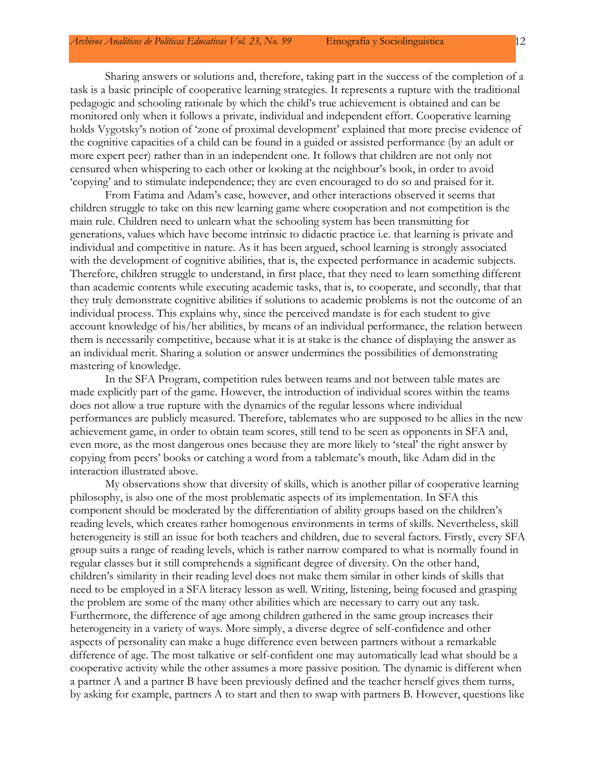Sharing answers or solutions and, therefore, taking part in the success of the completion of a task is a basic principle of cooperative learning strategies. It represents a rupture with the traditional pedagogic and schooling rationale by which the child's true achievement is obtained and can be monitored only when it follows a private, individual and independent effort. Cooperative learning holds Vygotsky's notion of 'zone of proximal development' explained that more precise evidence of the cognitive capacities of a child can be found in a guided or assisted performance (by an adult or more expert peer) rather than in an independent one. It follows that children are not only not censured when whispering to each other or looking at the neighbour's book, in order to avoid 'copying' and to stimulate independence; they are even encouraged to do so and praised for it.

From Fatima and Adam's case, however, and other interactions observed it seems that children struggle to take on this new learning game where cooperation and not competition is the main rule. Children need to unlearn what the schooling system has been transmitting for generations, values which have become intrinsic to didactic practice i.e. that learning is private and individual and competitive in nature. As it has been argued, school learning is strongly associated with the development of cognitive abilities, that is, the expected performance in academic subjects. Therefore, children struggle to understand, in first place, that they need to learn something different than academic contents while executing academic tasks, that is, to cooperate, and secondly, that that they truly demonstrate cognitive abilities if solutions to academic problems is not the outcome of an individual process. This explains why, since the perceived mandate is for each student to give account knowledge of his/her abilities, by means of an individual performance, the relation between them is necessarily competitive, because what it is at stake is the chance of displaying the answer as an individual merit. Sharing a solution or answer undermines the possibilities of demonstrating mastering of knowledge.

In the SFA Program, competition rules between teams and not between table mates are made explicitly part of the game. However, the introduction of individual scores within the teams does not allow a true rupture with the dynamics of the regular lessons where individual performances are publicly measured. Therefore, tablemates who are supposed to be allies in the new achievement game, in order to obtain team scores, still tend to be seen as opponents in SFA and, even more, as the most dangerous ones because they are more likely to 'steal' the right answer by copying from peers' books or catching a word from a tablemate's mouth, like Adam did in the interaction illustrated above.

My observations show that diversity of skills, which is another pillar of cooperative learning philosophy, is also one of the most problematic aspects of its implementation. In SFA this component should be moderated by the differentiation of ability groups based on the children's reading levels, which creates rather homogenous environments in terms of skills. Nevertheless, skill heterogeneity is still an issue for both teachers and children, due to several factors. Firstly, every SFA group suits a range of reading levels, which is rather narrow compared to what is normally found in regular classes but it still comprehends a significant degree of diversity. On the other hand, children's similarity in their reading level does not make them similar in other kinds of skills that need to be employed in a SFA literacy lesson as well. Writing, listening, being focused and grasping the problem are some of the many other abilities which are necessary to carry out any task. Furthermore, the difference of age among children gathered in the same group increases their heterogeneity in a variety of ways. More simply, a diverse degree of self-confidence and other aspects of personality can make a huge difference even between partners without a remarkable difference of age. The most talkative or self-confident one may automatically lead what should be a cooperative activity while the other assumes a more passive position. The dynamic is different when a partner A and a partner B have been previously defined and the teacher herself gives them turns, by asking for example, partners A to start and then to swap with partners B. However, questions like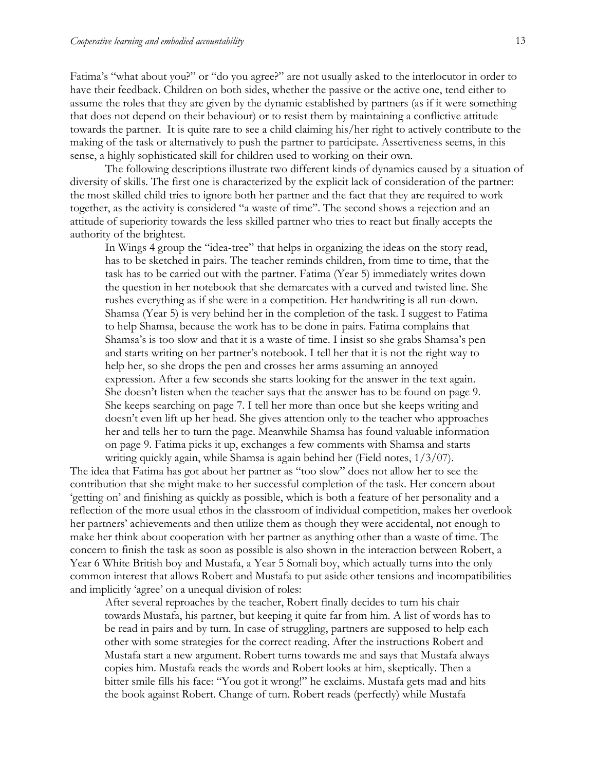Fatima's "what about you?" or "do you agree?" are not usually asked to the interlocutor in order to have their feedback. Children on both sides, whether the passive or the active one, tend either to assume the roles that they are given by the dynamic established by partners (as if it were something that does not depend on their behaviour) or to resist them by maintaining a conflictive attitude towards the partner. It is quite rare to see a child claiming his/her right to actively contribute to the making of the task or alternatively to push the partner to participate. Assertiveness seems, in this sense, a highly sophisticated skill for children used to working on their own.

The following descriptions illustrate two different kinds of dynamics caused by a situation of diversity of skills. The first one is characterized by the explicit lack of consideration of the partner: the most skilled child tries to ignore both her partner and the fact that they are required to work together, as the activity is considered "a waste of time". The second shows a rejection and an attitude of superiority towards the less skilled partner who tries to react but finally accepts the authority of the brightest.

In Wings 4 group the "idea-tree" that helps in organizing the ideas on the story read, has to be sketched in pairs. The teacher reminds children, from time to time, that the task has to be carried out with the partner. Fatima (Year 5) immediately writes down the question in her notebook that she demarcates with a curved and twisted line. She rushes everything as if she were in a competition. Her handwriting is all run-down. Shamsa (Year 5) is very behind her in the completion of the task. I suggest to Fatima to help Shamsa, because the work has to be done in pairs. Fatima complains that Shamsa's is too slow and that it is a waste of time. I insist so she grabs Shamsa's pen and starts writing on her partner's notebook. I tell her that it is not the right way to help her, so she drops the pen and crosses her arms assuming an annoyed expression. After a few seconds she starts looking for the answer in the text again. She doesn't listen when the teacher says that the answer has to be found on page 9. She keeps searching on page 7. I tell her more than once but she keeps writing and doesn't even lift up her head. She gives attention only to the teacher who approaches her and tells her to turn the page. Meanwhile Shamsa has found valuable information on page 9. Fatima picks it up, exchanges a few comments with Shamsa and starts writing quickly again, while Shamsa is again behind her (Field notes, 1/3/07).

The idea that Fatima has got about her partner as "too slow" does not allow her to see the contribution that she might make to her successful completion of the task. Her concern about 'getting on' and finishing as quickly as possible, which is both a feature of her personality and a reflection of the more usual ethos in the classroom of individual competition, makes her overlook her partners' achievements and then utilize them as though they were accidental, not enough to make her think about cooperation with her partner as anything other than a waste of time. The concern to finish the task as soon as possible is also shown in the interaction between Robert, a Year 6 White British boy and Mustafa, a Year 5 Somali boy, which actually turns into the only common interest that allows Robert and Mustafa to put aside other tensions and incompatibilities and implicitly 'agree' on a unequal division of roles:

After several reproaches by the teacher, Robert finally decides to turn his chair towards Mustafa, his partner, but keeping it quite far from him. A list of words has to be read in pairs and by turn. In case of struggling, partners are supposed to help each other with some strategies for the correct reading. After the instructions Robert and Mustafa start a new argument. Robert turns towards me and says that Mustafa always copies him. Mustafa reads the words and Robert looks at him, skeptically. Then a bitter smile fills his face: "You got it wrong!" he exclaims. Mustafa gets mad and hits the book against Robert. Change of turn. Robert reads (perfectly) while Mustafa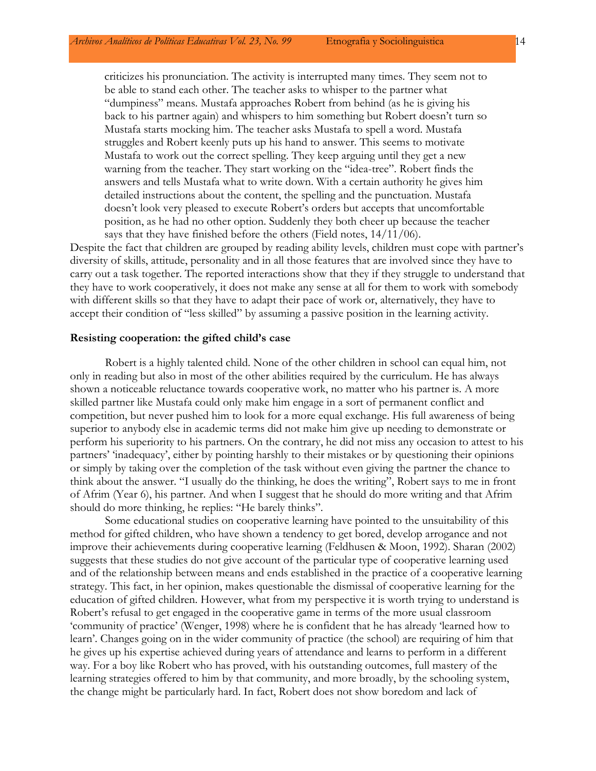criticizes his pronunciation. The activity is interrupted many times. They seem not to be able to stand each other. The teacher asks to whisper to the partner what "dumpiness" means. Mustafa approaches Robert from behind (as he is giving his back to his partner again) and whispers to him something but Robert doesn't turn so Mustafa starts mocking him. The teacher asks Mustafa to spell a word. Mustafa struggles and Robert keenly puts up his hand to answer. This seems to motivate Mustafa to work out the correct spelling. They keep arguing until they get a new warning from the teacher. They start working on the "idea-tree". Robert finds the answers and tells Mustafa what to write down. With a certain authority he gives him detailed instructions about the content, the spelling and the punctuation. Mustafa doesn't look very pleased to execute Robert's orders but accepts that uncomfortable position, as he had no other option. Suddenly they both cheer up because the teacher says that they have finished before the others (Field notes, 14/11/06).

Despite the fact that children are grouped by reading ability levels, children must cope with partner's diversity of skills, attitude, personality and in all those features that are involved since they have to carry out a task together. The reported interactions show that they if they struggle to understand that they have to work cooperatively, it does not make any sense at all for them to work with somebody with different skills so that they have to adapt their pace of work or, alternatively, they have to accept their condition of "less skilled" by assuming a passive position in the learning activity.

#### **Resisting cooperation: the gifted child's case**

Robert is a highly talented child. None of the other children in school can equal him, not only in reading but also in most of the other abilities required by the curriculum. He has always shown a noticeable reluctance towards cooperative work, no matter who his partner is. A more skilled partner like Mustafa could only make him engage in a sort of permanent conflict and competition, but never pushed him to look for a more equal exchange. His full awareness of being superior to anybody else in academic terms did not make him give up needing to demonstrate or perform his superiority to his partners. On the contrary, he did not miss any occasion to attest to his partners' 'inadequacy', either by pointing harshly to their mistakes or by questioning their opinions or simply by taking over the completion of the task without even giving the partner the chance to think about the answer. "I usually do the thinking, he does the writing", Robert says to me in front of Afrim (Year 6), his partner. And when I suggest that he should do more writing and that Afrim should do more thinking, he replies: "He barely thinks".

Some educational studies on cooperative learning have pointed to the unsuitability of this method for gifted children, who have shown a tendency to get bored, develop arrogance and not improve their achievements during cooperative learning (Feldhusen & Moon, 1992). Sharan (2002) suggests that these studies do not give account of the particular type of cooperative learning used and of the relationship between means and ends established in the practice of a cooperative learning strategy. This fact, in her opinion, makes questionable the dismissal of cooperative learning for the education of gifted children. However, what from my perspective it is worth trying to understand is Robert's refusal to get engaged in the cooperative game in terms of the more usual classroom 'community of practice' (Wenger, 1998) where he is confident that he has already 'learned how to learn'. Changes going on in the wider community of practice (the school) are requiring of him that he gives up his expertise achieved during years of attendance and learns to perform in a different way. For a boy like Robert who has proved, with his outstanding outcomes, full mastery of the learning strategies offered to him by that community, and more broadly, by the schooling system, the change might be particularly hard. In fact, Robert does not show boredom and lack of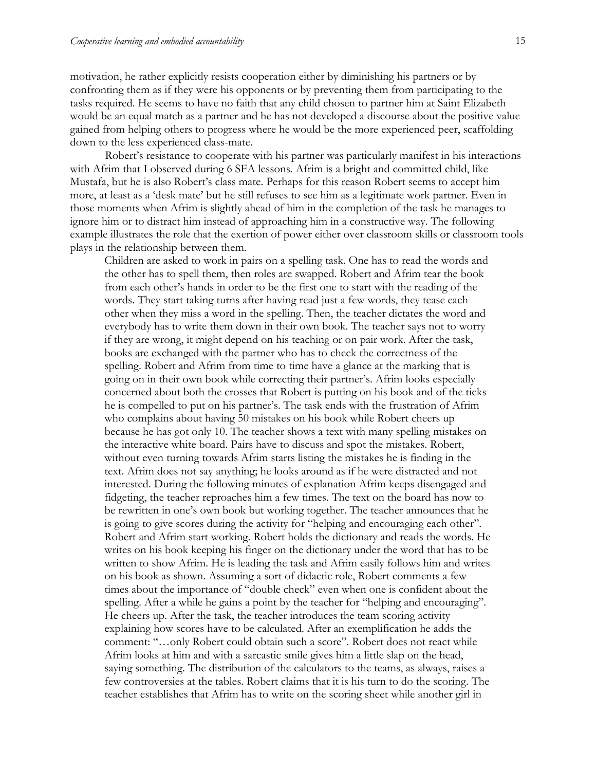motivation, he rather explicitly resists cooperation either by diminishing his partners or by confronting them as if they were his opponents or by preventing them from participating to the tasks required. He seems to have no faith that any child chosen to partner him at Saint Elizabeth would be an equal match as a partner and he has not developed a discourse about the positive value gained from helping others to progress where he would be the more experienced peer, scaffolding down to the less experienced class-mate.

Robert's resistance to cooperate with his partner was particularly manifest in his interactions with Afrim that I observed during 6 SFA lessons. Afrim is a bright and committed child, like Mustafa, but he is also Robert's class mate. Perhaps for this reason Robert seems to accept him more, at least as a 'desk mate' but he still refuses to see him as a legitimate work partner. Even in those moments when Afrim is slightly ahead of him in the completion of the task he manages to ignore him or to distract him instead of approaching him in a constructive way. The following example illustrates the role that the exertion of power either over classroom skills or classroom tools plays in the relationship between them.

Children are asked to work in pairs on a spelling task. One has to read the words and the other has to spell them, then roles are swapped. Robert and Afrim tear the book from each other's hands in order to be the first one to start with the reading of the words. They start taking turns after having read just a few words, they tease each other when they miss a word in the spelling. Then, the teacher dictates the word and everybody has to write them down in their own book. The teacher says not to worry if they are wrong, it might depend on his teaching or on pair work. After the task, books are exchanged with the partner who has to check the correctness of the spelling. Robert and Afrim from time to time have a glance at the marking that is going on in their own book while correcting their partner's. Afrim looks especially concerned about both the crosses that Robert is putting on his book and of the ticks he is compelled to put on his partner's. The task ends with the frustration of Afrim who complains about having 50 mistakes on his book while Robert cheers up because he has got only 10. The teacher shows a text with many spelling mistakes on the interactive white board. Pairs have to discuss and spot the mistakes. Robert, without even turning towards Afrim starts listing the mistakes he is finding in the text. Afrim does not say anything; he looks around as if he were distracted and not interested. During the following minutes of explanation Afrim keeps disengaged and fidgeting, the teacher reproaches him a few times. The text on the board has now to be rewritten in one's own book but working together. The teacher announces that he is going to give scores during the activity for "helping and encouraging each other". Robert and Afrim start working. Robert holds the dictionary and reads the words. He writes on his book keeping his finger on the dictionary under the word that has to be written to show Afrim. He is leading the task and Afrim easily follows him and writes on his book as shown. Assuming a sort of didactic role, Robert comments a few times about the importance of "double check" even when one is confident about the spelling. After a while he gains a point by the teacher for "helping and encouraging". He cheers up. After the task, the teacher introduces the team scoring activity explaining how scores have to be calculated. After an exemplification he adds the comment: "…only Robert could obtain such a score". Robert does not react while Afrim looks at him and with a sarcastic smile gives him a little slap on the head, saying something. The distribution of the calculators to the teams, as always, raises a few controversies at the tables. Robert claims that it is his turn to do the scoring. The teacher establishes that Afrim has to write on the scoring sheet while another girl in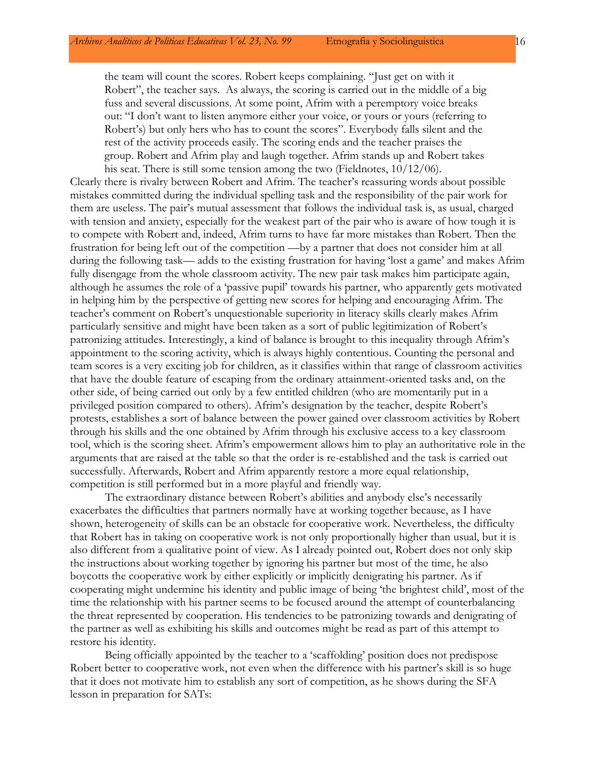the team will count the scores. Robert keeps complaining. "Just get on with it Robert", the teacher says. As always, the scoring is carried out in the middle of a big fuss and several discussions. At some point, Afrim with a peremptory voice breaks out: "I don't want to listen anymore either your voice, or yours or yours (referring to Robert's) but only hers who has to count the scores". Everybody falls silent and the rest of the activity proceeds easily. The scoring ends and the teacher praises the group. Robert and Afrim play and laugh together. Afrim stands up and Robert takes his seat. There is still some tension among the two (Fieldnotes, 10/12/06).

Clearly there is rivalry between Robert and Afrim. The teacher's reassuring words about possible mistakes committed during the individual spelling task and the responsibility of the pair work for them are useless. The pair's mutual assessment that follows the individual task is, as usual, charged with tension and anxiety, especially for the weakest part of the pair who is aware of how tough it is to compete with Robert and, indeed, Afrim turns to have far more mistakes than Robert. Then the frustration for being left out of the competition —by a partner that does not consider him at all during the following task— adds to the existing frustration for having 'lost a game' and makes Afrim fully disengage from the whole classroom activity. The new pair task makes him participate again, although he assumes the role of a 'passive pupil' towards his partner, who apparently gets motivated in helping him by the perspective of getting new scores for helping and encouraging Afrim. The teacher's comment on Robert's unquestionable superiority in literacy skills clearly makes Afrim particularly sensitive and might have been taken as a sort of public legitimization of Robert's patronizing attitudes. Interestingly, a kind of balance is brought to this inequality through Afrim's appointment to the scoring activity, which is always highly contentious. Counting the personal and team scores is a very exciting job for children, as it classifies within that range of classroom activities that have the double feature of escaping from the ordinary attainment-oriented tasks and, on the other side, of being carried out only by a few entitled children (who are momentarily put in a privileged position compared to others). Afrim's designation by the teacher, despite Robert's protests, establishes a sort of balance between the power gained over classroom activities by Robert through his skills and the one obtained by Afrim through his exclusive access to a key classroom tool, which is the scoring sheet. Afrim's empowerment allows him to play an authoritative role in the arguments that are raised at the table so that the order is re-established and the task is carried out successfully. Afterwards, Robert and Afrim apparently restore a more equal relationship, competition is still performed but in a more playful and friendly way.

The extraordinary distance between Robert's abilities and anybody else's necessarily exacerbates the difficulties that partners normally have at working together because, as I have shown, heterogeneity of skills can be an obstacle for cooperative work. Nevertheless, the difficulty that Robert has in taking on cooperative work is not only proportionally higher than usual, but it is also different from a qualitative point of view. As I already pointed out, Robert does not only skip the instructions about working together by ignoring his partner but most of the time, he also boycotts the cooperative work by either explicitly or implicitly denigrating his partner. As if cooperating might undermine his identity and public image of being 'the brightest child', most of the time the relationship with his partner seems to be focused around the attempt of counterbalancing the threat represented by cooperation. His tendencies to be patronizing towards and denigrating of the partner as well as exhibiting his skills and outcomes might be read as part of this attempt to restore his identity.

Being officially appointed by the teacher to a 'scaffolding' position does not predispose Robert better to cooperative work, not even when the difference with his partner's skill is so huge that it does not motivate him to establish any sort of competition, as he shows during the SFA lesson in preparation for SATs: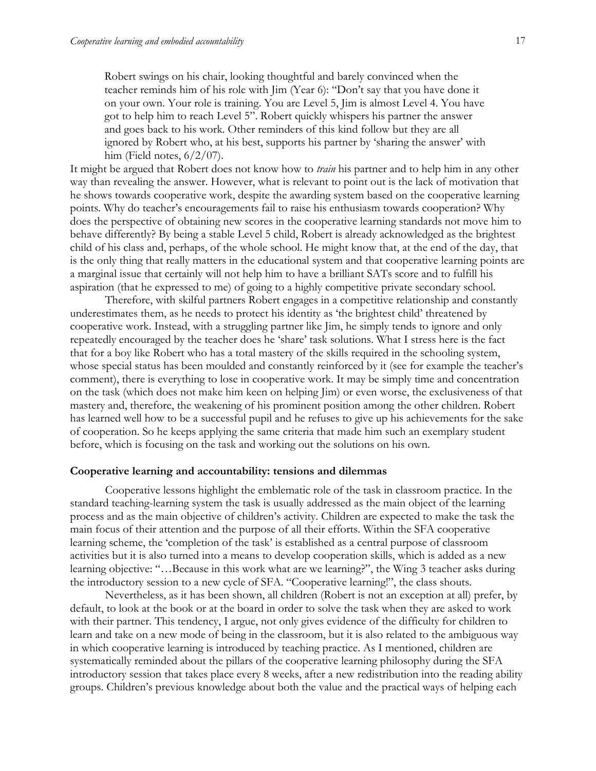Robert swings on his chair, looking thoughtful and barely convinced when the teacher reminds him of his role with Jim (Year 6): "Don't say that you have done it on your own. Your role is training. You are Level 5, Jim is almost Level 4. You have got to help him to reach Level 5". Robert quickly whispers his partner the answer and goes back to his work. Other reminders of this kind follow but they are all ignored by Robert who, at his best, supports his partner by 'sharing the answer' with him (Field notes,  $6/2/07$ ).

It might be argued that Robert does not know how to *train* his partner and to help him in any other way than revealing the answer. However, what is relevant to point out is the lack of motivation that he shows towards cooperative work, despite the awarding system based on the cooperative learning points. Why do teacher's encouragements fail to raise his enthusiasm towards cooperation? Why does the perspective of obtaining new scores in the cooperative learning standards not move him to behave differently? By being a stable Level 5 child, Robert is already acknowledged as the brightest child of his class and, perhaps, of the whole school. He might know that, at the end of the day, that is the only thing that really matters in the educational system and that cooperative learning points are a marginal issue that certainly will not help him to have a brilliant SATs score and to fulfill his aspiration (that he expressed to me) of going to a highly competitive private secondary school.

Therefore, with skilful partners Robert engages in a competitive relationship and constantly underestimates them, as he needs to protect his identity as 'the brightest child' threatened by cooperative work. Instead, with a struggling partner like Jim, he simply tends to ignore and only repeatedly encouraged by the teacher does he 'share' task solutions. What I stress here is the fact that for a boy like Robert who has a total mastery of the skills required in the schooling system, whose special status has been moulded and constantly reinforced by it (see for example the teacher's comment), there is everything to lose in cooperative work. It may be simply time and concentration on the task (which does not make him keen on helping Jim) or even worse, the exclusiveness of that mastery and, therefore, the weakening of his prominent position among the other children. Robert has learned well how to be a successful pupil and he refuses to give up his achievements for the sake of cooperation. So he keeps applying the same criteria that made him such an exemplary student before, which is focusing on the task and working out the solutions on his own.

## **Cooperative learning and accountability: tensions and dilemmas**

Cooperative lessons highlight the emblematic role of the task in classroom practice. In the standard teaching-learning system the task is usually addressed as the main object of the learning process and as the main objective of children's activity. Children are expected to make the task the main focus of their attention and the purpose of all their efforts. Within the SFA cooperative learning scheme, the 'completion of the task' is established as a central purpose of classroom activities but it is also turned into a means to develop cooperation skills, which is added as a new learning objective: "…Because in this work what are we learning?", the Wing 3 teacher asks during the introductory session to a new cycle of SFA. "Cooperative learning!", the class shouts.

Nevertheless, as it has been shown, all children (Robert is not an exception at all) prefer, by default, to look at the book or at the board in order to solve the task when they are asked to work with their partner. This tendency, I argue, not only gives evidence of the difficulty for children to learn and take on a new mode of being in the classroom, but it is also related to the ambiguous way in which cooperative learning is introduced by teaching practice. As I mentioned, children are systematically reminded about the pillars of the cooperative learning philosophy during the SFA introductory session that takes place every 8 weeks, after a new redistribution into the reading ability groups. Children's previous knowledge about both the value and the practical ways of helping each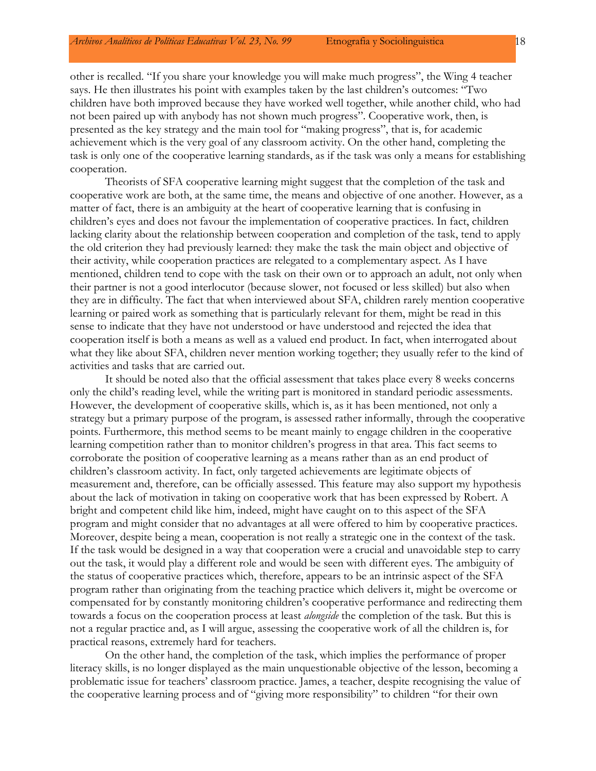other is recalled. "If you share your knowledge you will make much progress", the Wing 4 teacher says. He then illustrates his point with examples taken by the last children's outcomes: "Two children have both improved because they have worked well together, while another child, who had not been paired up with anybody has not shown much progress". Cooperative work, then, is presented as the key strategy and the main tool for "making progress", that is, for academic achievement which is the very goal of any classroom activity. On the other hand, completing the task is only one of the cooperative learning standards, as if the task was only a means for establishing cooperation.

Theorists of SFA cooperative learning might suggest that the completion of the task and cooperative work are both, at the same time, the means and objective of one another. However, as a matter of fact, there is an ambiguity at the heart of cooperative learning that is confusing in children's eyes and does not favour the implementation of cooperative practices. In fact, children lacking clarity about the relationship between cooperation and completion of the task, tend to apply the old criterion they had previously learned: they make the task the main object and objective of their activity, while cooperation practices are relegated to a complementary aspect. As I have mentioned, children tend to cope with the task on their own or to approach an adult, not only when their partner is not a good interlocutor (because slower, not focused or less skilled) but also when they are in difficulty. The fact that when interviewed about SFA, children rarely mention cooperative learning or paired work as something that is particularly relevant for them, might be read in this sense to indicate that they have not understood or have understood and rejected the idea that cooperation itself is both a means as well as a valued end product. In fact, when interrogated about what they like about SFA, children never mention working together; they usually refer to the kind of activities and tasks that are carried out.

It should be noted also that the official assessment that takes place every 8 weeks concerns only the child's reading level, while the writing part is monitored in standard periodic assessments. However, the development of cooperative skills, which is, as it has been mentioned, not only a strategy but a primary purpose of the program, is assessed rather informally, through the cooperative points. Furthermore, this method seems to be meant mainly to engage children in the cooperative learning competition rather than to monitor children's progress in that area. This fact seems to corroborate the position of cooperative learning as a means rather than as an end product of children's classroom activity. In fact, only targeted achievements are legitimate objects of measurement and, therefore, can be officially assessed. This feature may also support my hypothesis about the lack of motivation in taking on cooperative work that has been expressed by Robert. A bright and competent child like him, indeed, might have caught on to this aspect of the SFA program and might consider that no advantages at all were offered to him by cooperative practices. Moreover, despite being a mean, cooperation is not really a strategic one in the context of the task. If the task would be designed in a way that cooperation were a crucial and unavoidable step to carry out the task, it would play a different role and would be seen with different eyes. The ambiguity of the status of cooperative practices which, therefore, appears to be an intrinsic aspect of the SFA program rather than originating from the teaching practice which delivers it, might be overcome or compensated for by constantly monitoring children's cooperative performance and redirecting them towards a focus on the cooperation process at least *alongside* the completion of the task. But this is not a regular practice and, as I will argue, assessing the cooperative work of all the children is, for practical reasons, extremely hard for teachers.

On the other hand, the completion of the task, which implies the performance of proper literacy skills, is no longer displayed as the main unquestionable objective of the lesson, becoming a problematic issue for teachers' classroom practice. James, a teacher, despite recognising the value of the cooperative learning process and of "giving more responsibility" to children "for their own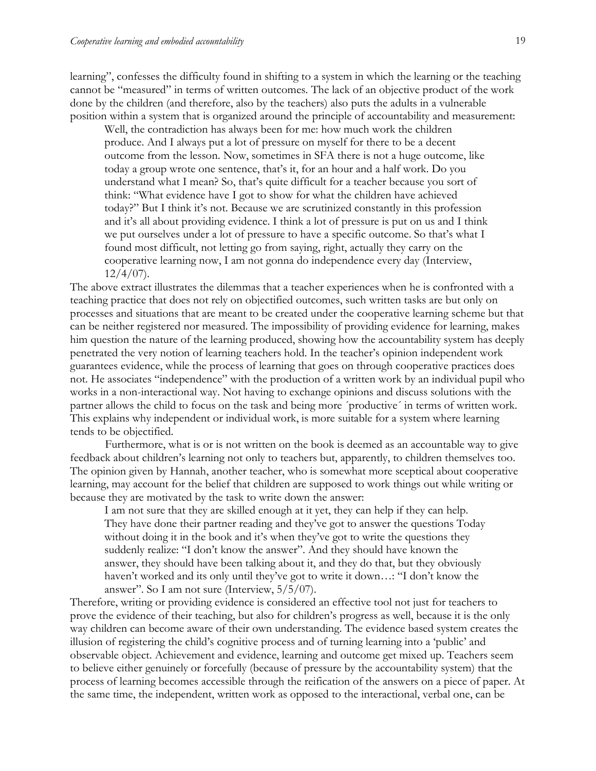learning", confesses the difficulty found in shifting to a system in which the learning or the teaching cannot be "measured" in terms of written outcomes. The lack of an objective product of the work done by the children (and therefore, also by the teachers) also puts the adults in a vulnerable position within a system that is organized around the principle of accountability and measurement:

Well, the contradiction has always been for me: how much work the children produce. And I always put a lot of pressure on myself for there to be a decent outcome from the lesson. Now, sometimes in SFA there is not a huge outcome, like today a group wrote one sentence, that's it, for an hour and a half work. Do you understand what I mean? So, that's quite difficult for a teacher because you sort of think: "What evidence have I got to show for what the children have achieved today?" But I think it's not. Because we are scrutinized constantly in this profession and it's all about providing evidence. I think a lot of pressure is put on us and I think we put ourselves under a lot of pressure to have a specific outcome. So that's what I found most difficult, not letting go from saying, right, actually they carry on the cooperative learning now, I am not gonna do independence every day (Interview,  $12/4/07$ ).

The above extract illustrates the dilemmas that a teacher experiences when he is confronted with a teaching practice that does not rely on objectified outcomes, such written tasks are but only on processes and situations that are meant to be created under the cooperative learning scheme but that can be neither registered nor measured. The impossibility of providing evidence for learning, makes him question the nature of the learning produced, showing how the accountability system has deeply penetrated the very notion of learning teachers hold. In the teacher's opinion independent work guarantees evidence, while the process of learning that goes on through cooperative practices does not. He associates "independence" with the production of a written work by an individual pupil who works in a non-interactional way. Not having to exchange opinions and discuss solutions with the partner allows the child to focus on the task and being more ´productive´ in terms of written work. This explains why independent or individual work, is more suitable for a system where learning tends to be objectified.

Furthermore, what is or is not written on the book is deemed as an accountable way to give feedback about children's learning not only to teachers but, apparently, to children themselves too. The opinion given by Hannah, another teacher, who is somewhat more sceptical about cooperative learning, may account for the belief that children are supposed to work things out while writing or because they are motivated by the task to write down the answer:

I am not sure that they are skilled enough at it yet, they can help if they can help. They have done their partner reading and they've got to answer the questions Today without doing it in the book and it's when they've got to write the questions they suddenly realize: "I don't know the answer". And they should have known the answer, they should have been talking about it, and they do that, but they obviously haven't worked and its only until they've got to write it down…: "I don't know the answer". So I am not sure (Interview, 5/5/07).

Therefore, writing or providing evidence is considered an effective tool not just for teachers to prove the evidence of their teaching, but also for children's progress as well, because it is the only way children can become aware of their own understanding. The evidence based system creates the illusion of registering the child's cognitive process and of turning learning into a 'public' and observable object. Achievement and evidence, learning and outcome get mixed up. Teachers seem to believe either genuinely or forcefully (because of pressure by the accountability system) that the process of learning becomes accessible through the reification of the answers on a piece of paper. At the same time, the independent, written work as opposed to the interactional, verbal one, can be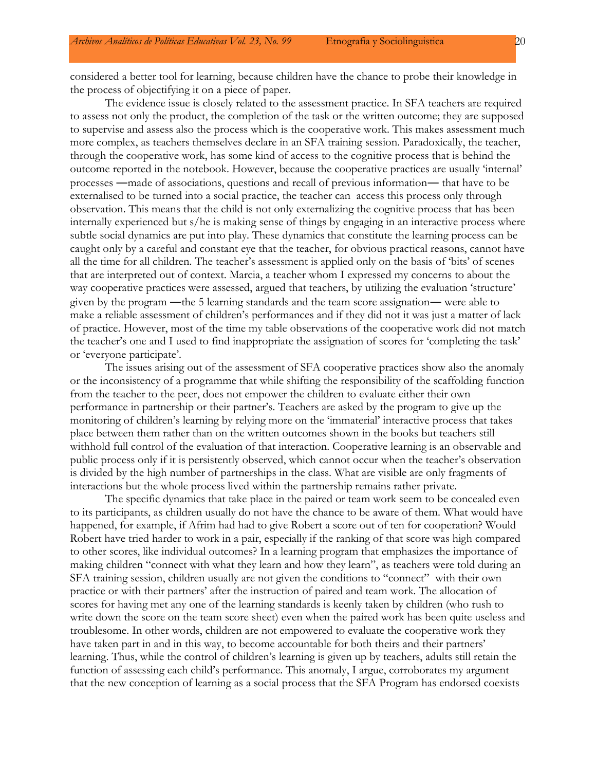considered a better tool for learning, because children have the chance to probe their knowledge in the process of objectifying it on a piece of paper.

The evidence issue is closely related to the assessment practice. In SFA teachers are required to assess not only the product, the completion of the task or the written outcome; they are supposed to supervise and assess also the process which is the cooperative work. This makes assessment much more complex, as teachers themselves declare in an SFA training session. Paradoxically, the teacher, through the cooperative work, has some kind of access to the cognitive process that is behind the outcome reported in the notebook. However, because the cooperative practices are usually 'internal' processes ―made of associations, questions and recall of previous information― that have to be externalised to be turned into a social practice, the teacher can access this process only through observation. This means that the child is not only externalizing the cognitive process that has been internally experienced but s/he is making sense of things by engaging in an interactive process where subtle social dynamics are put into play. These dynamics that constitute the learning process can be caught only by a careful and constant eye that the teacher, for obvious practical reasons, cannot have all the time for all children. The teacher's assessment is applied only on the basis of 'bits' of scenes that are interpreted out of context. Marcia, a teacher whom I expressed my concerns to about the way cooperative practices were assessed, argued that teachers, by utilizing the evaluation 'structure' given by the program ―the 5 learning standards and the team score assignation― were able to make a reliable assessment of children's performances and if they did not it was just a matter of lack of practice. However, most of the time my table observations of the cooperative work did not match the teacher's one and I used to find inappropriate the assignation of scores for 'completing the task' or 'everyone participate'.

The issues arising out of the assessment of SFA cooperative practices show also the anomaly or the inconsistency of a programme that while shifting the responsibility of the scaffolding function from the teacher to the peer, does not empower the children to evaluate either their own performance in partnership or their partner's. Teachers are asked by the program to give up the monitoring of children's learning by relying more on the 'immaterial' interactive process that takes place between them rather than on the written outcomes shown in the books but teachers still withhold full control of the evaluation of that interaction. Cooperative learning is an observable and public process only if it is persistently observed, which cannot occur when the teacher's observation is divided by the high number of partnerships in the class. What are visible are only fragments of interactions but the whole process lived within the partnership remains rather private.

The specific dynamics that take place in the paired or team work seem to be concealed even to its participants, as children usually do not have the chance to be aware of them. What would have happened, for example, if Afrim had had to give Robert a score out of ten for cooperation? Would Robert have tried harder to work in a pair, especially if the ranking of that score was high compared to other scores, like individual outcomes? In a learning program that emphasizes the importance of making children "connect with what they learn and how they learn", as teachers were told during an SFA training session, children usually are not given the conditions to "connect" with their own practice or with their partners' after the instruction of paired and team work. The allocation of scores for having met any one of the learning standards is keenly taken by children (who rush to write down the score on the team score sheet) even when the paired work has been quite useless and troublesome. In other words, children are not empowered to evaluate the cooperative work they have taken part in and in this way, to become accountable for both theirs and their partners' learning. Thus, while the control of children's learning is given up by teachers, adults still retain the function of assessing each child's performance. This anomaly, I argue, corroborates my argument that the new conception of learning as a social process that the SFA Program has endorsed coexists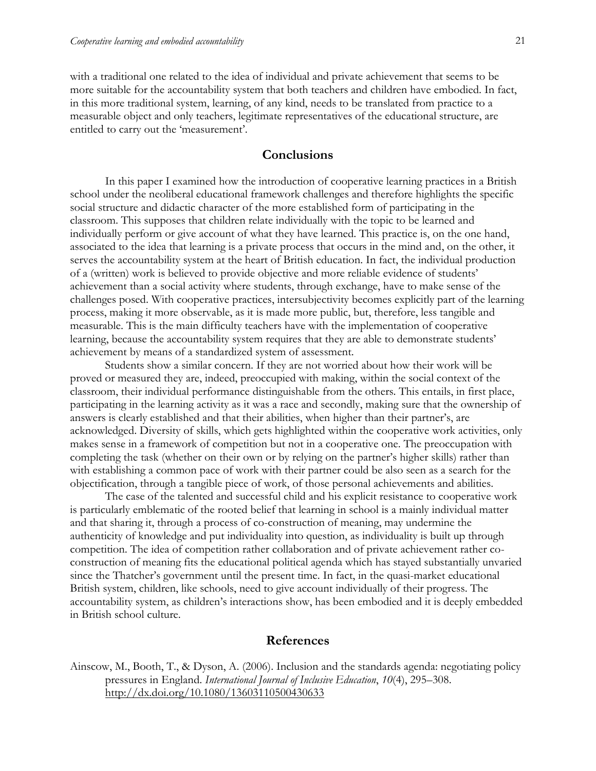with a traditional one related to the idea of individual and private achievement that seems to be more suitable for the accountability system that both teachers and children have embodied. In fact, in this more traditional system, learning, of any kind, needs to be translated from practice to a measurable object and only teachers, legitimate representatives of the educational structure, are entitled to carry out the 'measurement'.

## **Conclusions**

In this paper I examined how the introduction of cooperative learning practices in a British school under the neoliberal educational framework challenges and therefore highlights the specific social structure and didactic character of the more established form of participating in the classroom. This supposes that children relate individually with the topic to be learned and individually perform or give account of what they have learned. This practice is, on the one hand, associated to the idea that learning is a private process that occurs in the mind and, on the other, it serves the accountability system at the heart of British education. In fact, the individual production of a (written) work is believed to provide objective and more reliable evidence of students' achievement than a social activity where students, through exchange, have to make sense of the challenges posed. With cooperative practices, intersubjectivity becomes explicitly part of the learning process, making it more observable, as it is made more public, but, therefore, less tangible and measurable. This is the main difficulty teachers have with the implementation of cooperative learning, because the accountability system requires that they are able to demonstrate students' achievement by means of a standardized system of assessment.

Students show a similar concern. If they are not worried about how their work will be proved or measured they are, indeed, preoccupied with making, within the social context of the classroom, their individual performance distinguishable from the others. This entails, in first place, participating in the learning activity as it was a race and secondly, making sure that the ownership of answers is clearly established and that their abilities, when higher than their partner's, are acknowledged. Diversity of skills, which gets highlighted within the cooperative work activities, only makes sense in a framework of competition but not in a cooperative one. The preoccupation with completing the task (whether on their own or by relying on the partner's higher skills) rather than with establishing a common pace of work with their partner could be also seen as a search for the objectification, through a tangible piece of work, of those personal achievements and abilities.

The case of the talented and successful child and his explicit resistance to cooperative work is particularly emblematic of the rooted belief that learning in school is a mainly individual matter and that sharing it, through a process of co-construction of meaning, may undermine the authenticity of knowledge and put individuality into question, as individuality is built up through competition. The idea of competition rather collaboration and of private achievement rather coconstruction of meaning fits the educational political agenda which has stayed substantially unvaried since the Thatcher's government until the present time. In fact, in the quasi-market educational British system, children, like schools, need to give account individually of their progress. The accountability system, as children's interactions show, has been embodied and it is deeply embedded in British school culture.

#### **References**

Ainscow, M., Booth, T., & Dyson, A. (2006). Inclusion and the standards agenda: negotiating policy pressures in England. *International Journal of Inclusive Education*, *10*(4), 295–308. <http://dx.doi.org/10.1080/13603110500430633>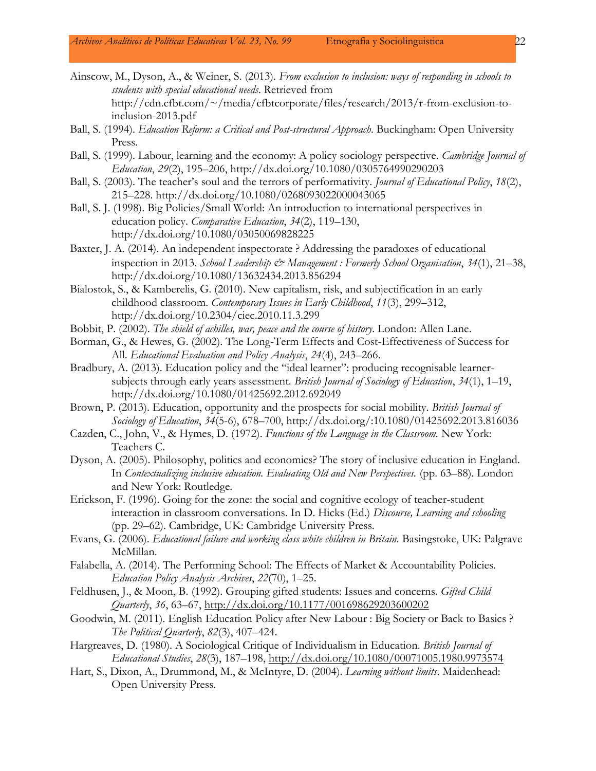- Ainscow, M., Dyson, A., & Weiner, S. (2013). *From exclusion to inclusion: ways of responding in schools to students with special educational needs*. Retrieved from http://cdn.cfbt.com/~/media/cfbtcorporate/files/research/2013/r-from-exclusion-toinclusion-2013.pdf
- Ball, S. (1994). *Education Reform: a Critical and Post-structural Approach*. Buckingham: Open University Press.
- Ball, S. (1999). Labour, learning and the economy: A policy sociology perspective. *Cambridge Journal of Education*, *29*(2), 195–206, http://dx.doi.org/10.1080/0305764990290203
- Ball, S. (2003). The teacher's soul and the terrors of performativity. *Journal of Educational Policy*, *18*(2), 215–228. http://dx.doi.org/10.1080/0268093022000043065
- Ball, S. J. (1998). Big Policies/Small World: An introduction to international perspectives in education policy. *Comparative Education*, *34*(2), 119–130, http://dx.doi.org/10.1080/03050069828225
- Baxter, J. A. (2014). An independent inspectorate ? Addressing the paradoxes of educational inspection in 2013. *School Leadership & Management : Formerly School Organisation*, *34*(1), 21–38, http://dx.doi.org/10.1080/13632434.2013.856294
- Bialostok, S., & Kamberelis, G. (2010). New capitalism, risk, and subjectification in an early childhood classroom. *Contemporary Issues in Early Childhood*, *11*(3), 299–312, http://dx.doi.org/10.2304/ciec.2010.11.3.299
- Bobbit, P. (2002). *The shield of achilles, war, peace and the course of history*. London: Allen Lane.
- Borman, G., & Hewes, G. (2002). The Long-Term Effects and Cost-Effectiveness of Success for All. *Educational Evaluation and Policy Analysis*, *24*(4), 243–266.
- Bradbury, A. (2013). Education policy and the "ideal learner": producing recognisable learnersubjects through early years assessment. *British Journal of Sociology of Education*, *34*(1), 1–19, http://dx.doi.org/10.1080/01425692.2012.692049
- Brown, P. (2013). Education, opportunity and the prospects for social mobility. *British Journal of Sociology of Education*, *34*(5-6), 678–700, http://dx.doi.org/:10.1080/01425692.2013.816036
- Cazden, C., John, V., & Hymes, D. (1972). *Functions of the Language in the Classroom.* New York: Teachers C.
- Dyson, A. (2005). Philosophy, politics and economics? The story of inclusive education in England. In *Contextualizing inclusive education. Evaluating Old and New Perspectives.* (pp. 63–88). London and New York: Routledge.
- Erickson, F. (1996). Going for the zone: the social and cognitive ecology of teacher-student interaction in classroom conversations. In D. Hicks (Ed.) *Discourse, Learning and schooling* (pp. 29–62). Cambridge, UK: Cambridge University Press.
- Evans, G. (2006). *Educational failure and working class white children in Britain.* Basingstoke, UK: Palgrave McMillan.
- Falabella, A. (2014). The Performing School: The Effects of Market & Accountability Policies. *Education Policy Analysis Archives*, *22*(70), 1–25.
- Feldhusen, J., & Moon, B. (1992). Grouping gifted students: Issues and concerns. *Gifted Child Quarterly*, *36*, 63–67, <http://dx.doi.org/10.1177/001698629203600202>
- Goodwin, M. (2011). English Education Policy after New Labour : Big Society or Back to Basics ? *The Political Quarterly*, *82*(3), 407–424.
- Hargreaves, D. (1980). A Sociological Critique of Individualism in Education. *British Journal of Educational Studies*, *28*(3), 187–198, <http://dx.doi.org/10.1080/00071005.1980.9973574>
- Hart, S., Dixon, A., Drummond, M., & McIntyre, D. (2004). *Learning without limits*. Maidenhead: Open University Press.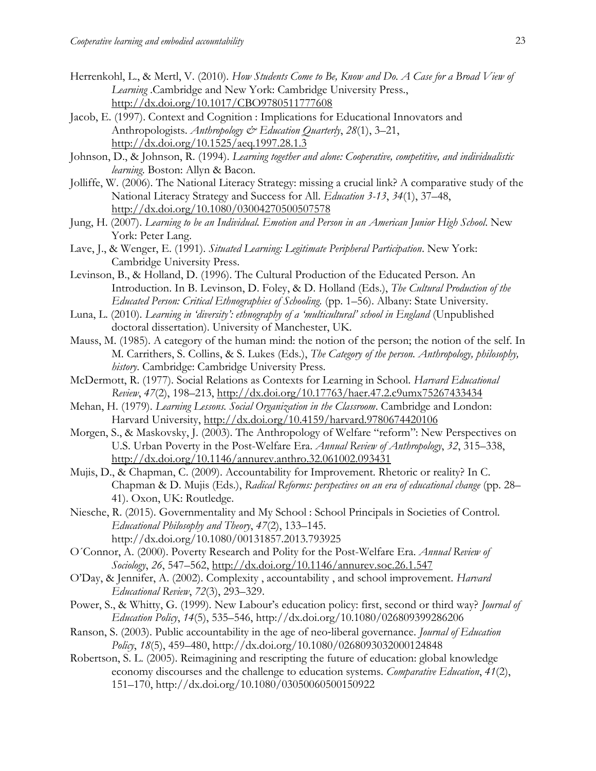- Herrenkohl, L., & Mertl, V. (2010). *How Students Come to Be, Know and Do. A Case for a Broad View of Learning* .Cambridge and New York: Cambridge University Press., <http://dx.doi.org/10.1017/CBO9780511777608>
- Jacob, E. (1997). Context and Cognition : Implications for Educational Innovators and Anthropologists. *Anthropology & Education Quarterly*, *28*(1), 3–21, <http://dx.doi.org/10.1525/aeq.1997.28.1.3>
- Johnson, D., & Johnson, R. (1994). *Learning together and alone: Cooperative, competitive, and individualistic learning*. Boston: Allyn & Bacon.
- Jolliffe, W. (2006). The National Literacy Strategy: missing a crucial link? A comparative study of the National Literacy Strategy and Success for All. *Education 3-13*, *34*(1), 37–48, <http://dx.doi.org/10.1080/03004270500507578>
- Jung, H. (2007). *Learning to be an Individual. Emotion and Person in an American Junior High School*. New York: Peter Lang.
- Lave, J., & Wenger, E. (1991). *Situated Learning: Legitimate Peripheral Participation*. New York: Cambridge University Press.
- Levinson, B., & Holland, D. (1996). The Cultural Production of the Educated Person. An Introduction. In B. Levinson, D. Foley, & D. Holland (Eds.), *The Cultural Production of the Educated Person: Critical Ethnographies of Schooling.* (pp. 1–56). Albany: State University.
- Luna, L. (2010). *Learning in 'diversity': ethnography of a 'multicultural' school in England* (Unpublished doctoral dissertation). University of Manchester, UK.
- Mauss, M. (1985). A category of the human mind: the notion of the person; the notion of the self. In M. Carrithers, S. Collins, & S. Lukes (Eds.), *The Category of the person. Anthropology, philosophy, history*. Cambridge: Cambridge University Press.
- McDermott, R. (1977). Social Relations as Contexts for Learning in School. *Harvard Educational Review*, *47*(2), 198–213, <http://dx.doi.org/10.17763/haer.47.2.c9umx75267433434>
- Mehan, H. (1979). *Learning Lessons. Social Organization in the Classroom*. Cambridge and London: Harvard University, <http://dx.doi.org/10.4159/harvard.9780674420106>
- Morgen, S., & Maskovsky, J. (2003). The Anthropology of Welfare "reform": New Perspectives on U.S. Urban Poverty in the Post-Welfare Era. *Annual Review of Anthropology*, *32*, 315–338, <http://dx.doi.org/10.1146/annurev.anthro.32.061002.093431>
- Mujis, D., & Chapman, C. (2009). Accountability for Improvement. Rhetoric or reality? In C. Chapman & D. Mujis (Eds.), *Radical Reforms: perspectives on an era of educational change* (pp. 28– 41). Oxon, UK: Routledge.
- Niesche, R. (2015). Governmentality and My School : School Principals in Societies of Control. *Educational Philosophy and Theory*, *47*(2), 133–145. http://dx.doi.org/10.1080/00131857.2013.793925
- O´Connor, A. (2000). Poverty Research and Polity for the Post-Welfare Era. *Annual Review of Sociology*, *26*, 547–562, <http://dx.doi.org/10.1146/annurev.soc.26.1.547>
- O'Day, & Jennifer, A. (2002). Complexity , accountability , and school improvement. *Harvard Educational Review*, *72*(3), 293–329.
- Power, S., & Whitty, G. (1999). New Labour's education policy: first, second or third way? *Journal of Education Policy*, *14*(5), 535–546, http://dx.doi.org/10.1080/026809399286206
- Ranson, S. (2003). Public accountability in the age of neo‐liberal governance. *Journal of Education Policy*, *18*(5), 459–480, http://dx.doi.org/10.1080/0268093032000124848
- Robertson, S. L. (2005). Reimagining and rescripting the future of education: global knowledge economy discourses and the challenge to education systems. *Comparative Education*, *41*(2), 151–170, http://dx.doi.org/10.1080/03050060500150922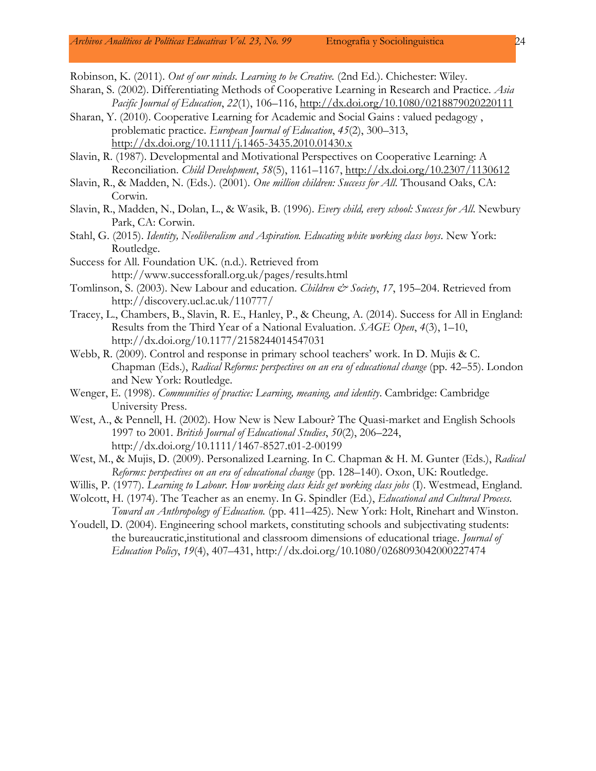Robinson, K. (2011). *Out of our minds. Learning to be Creative.* (2nd Ed.). Chichester: Wiley.

- Sharan, S. (2002). Differentiating Methods of Cooperative Learning in Research and Practice. *Asia Pacific Journal of Education*, *22*(1), 106–116, <http://dx.doi.org/10.1080/0218879020220111>
- Sharan, Y. (2010). Cooperative Learning for Academic and Social Gains : valued pedagogy , problematic practice. *European Journal of Education*, *45*(2), 300–313, <http://dx.doi.org/10.1111/j.1465-3435.2010.01430.x>
- Slavin, R. (1987). Developmental and Motivational Perspectives on Cooperative Learning: A Reconciliation. *Child Development*, *58*(5), 1161–1167, <http://dx.doi.org/10.2307/1130612>
- Slavin, R., & Madden, N. (Eds.). (2001). *One million children: Success for All*. Thousand Oaks, CA: Corwin.
- Slavin, R., Madden, N., Dolan, L., & Wasik, B. (1996). *Every child, every school: Success for All*. Newbury Park, CA: Corwin.
- Stahl, G. (2015). *Identity, Neoliberalism and Aspiration. Educating white working class boys*. New York: Routledge.
- Success for All. Foundation UK. (n.d.). Retrieved from http://www.successforall.org.uk/pages/results.html
- Tomlinson, S. (2003). New Labour and education. *Children & Society*, 17, 195–204. Retrieved from http://discovery.ucl.ac.uk/110777/
- Tracey, L., Chambers, B., Slavin, R. E., Hanley, P., & Cheung, A. (2014). Success for All in England: Results from the Third Year of a National Evaluation. *SAGE Open*, *4*(3), 1–10, http://dx.doi.org/10.1177/2158244014547031
- Webb, R. (2009). Control and response in primary school teachers' work. In D. Mujis & C. Chapman (Eds.), *Radical Reforms: perspectives on an era of educational change* (pp. 42–55). London and New York: Routledge.
- Wenger, E. (1998). *Communities of practice: Learning, meaning, and identity*. Cambridge: Cambridge University Press.
- West, A., & Pennell, H. (2002). How New is New Labour? The Quasi-market and English Schools 1997 to 2001. *British Journal of Educational Studies*, *50*(2), 206–224, http://dx.doi.org/10.1111/1467-8527.t01-2-00199
- West, M., & Mujis, D. (2009). Personalized Learning. In C. Chapman & H. M. Gunter (Eds.), *Radical Reforms: perspectives on an era of educational change* (pp. 128–140). Oxon, UK: Routledge.
- Willis, P. (1977). *Learning to Labour. How working class kids get working class jobs* (I). Westmead, England.
- Wolcott, H. (1974). The Teacher as an enemy. In G. Spindler (Ed.), *Educational and Cultural Process. Toward an Anthropology of Education.* (pp. 411–425). New York: Holt, Rinehart and Winston.
- Youdell, D. (2004). Engineering school markets, constituting schools and subjectivating students: the bureaucratic,institutional and classroom dimensions of educational triage. *Journal of Education Policy*, *19*(4), 407–431, http://dx.doi.org/10.1080/0268093042000227474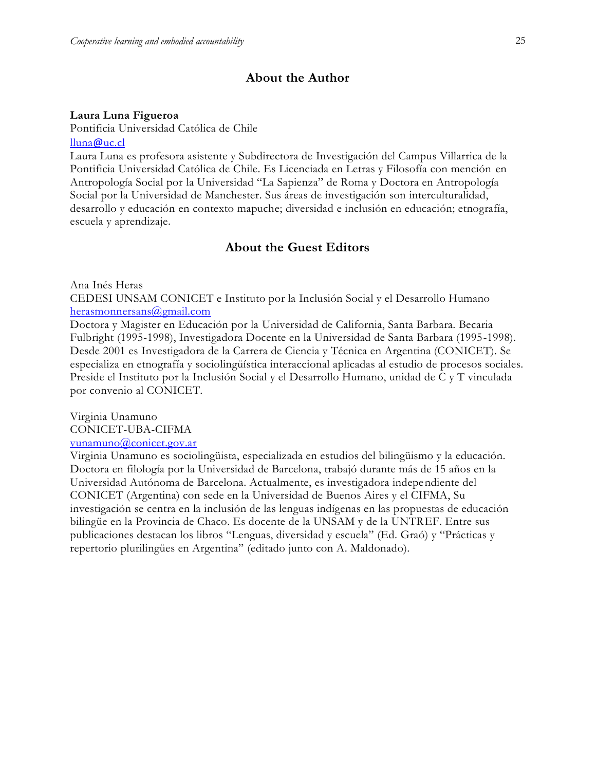## **About the Author**

#### **Laura Luna Figueroa**

Pontificia Universidad Católica de Chile [lluna](mailto:lluna@uc.cl)@uc.cl

Laura Luna es profesora asistente y Subdirectora de Investigación del Campus Villarrica de la Pontificia Universidad Católica de Chile. Es Licenciada en Letras y Filosofía con mención en Antropología Social por la Universidad "La Sapienza" de Roma y Doctora en Antropología Social por la Universidad de Manchester. Sus áreas de investigación son interculturalidad, desarrollo y educación en contexto mapuche; diversidad e inclusión en educación; etnografía, escuela y aprendizaje.

## **About the Guest Editors**

Ana Inés Heras

CEDESI UNSAM CONICET e Instituto por la Inclusión Social y el Desarrollo Humano [herasmonnersans@gmail.com](mailto:herasmonnersans@gmail.com)

Doctora y Magister en Educación por la Universidad de California, Santa Barbara. Becaria Fulbright (1995-1998), Investigadora Docente en la Universidad de Santa Barbara (1995-1998). Desde 2001 es Investigadora de la Carrera de Ciencia y Técnica en Argentina (CONICET). Se especializa en etnografía y sociolingüística interaccional aplicadas al estudio de procesos sociales. Preside el Instituto por la Inclusión Social y el Desarrollo Humano, unidad de C y T vinculada por convenio al CONICET.

Virginia Unamuno CONICET-UBA-CIFMA [vunamuno@conicet.gov.ar](mailto:vunamuno@conicet.gov.ar)

Virginia Unamuno es sociolingüista, especializada en estudios del bilingüismo y la educación. Doctora en filología por la Universidad de Barcelona, trabajó durante más de 15 años en la Universidad Autónoma de Barcelona. Actualmente, es investigadora independiente del CONICET (Argentina) con sede en la Universidad de Buenos Aires y el CIFMA, Su investigación se centra en la inclusión de las lenguas indígenas en las propuestas de educación bilingüe en la Provincia de Chaco. Es docente de la UNSAM y de la UNTREF. Entre sus publicaciones destacan los libros "Lenguas, diversidad y escuela" (Ed. Graó) y "Prácticas y repertorio plurilingües en Argentina" (editado junto con A. Maldonado).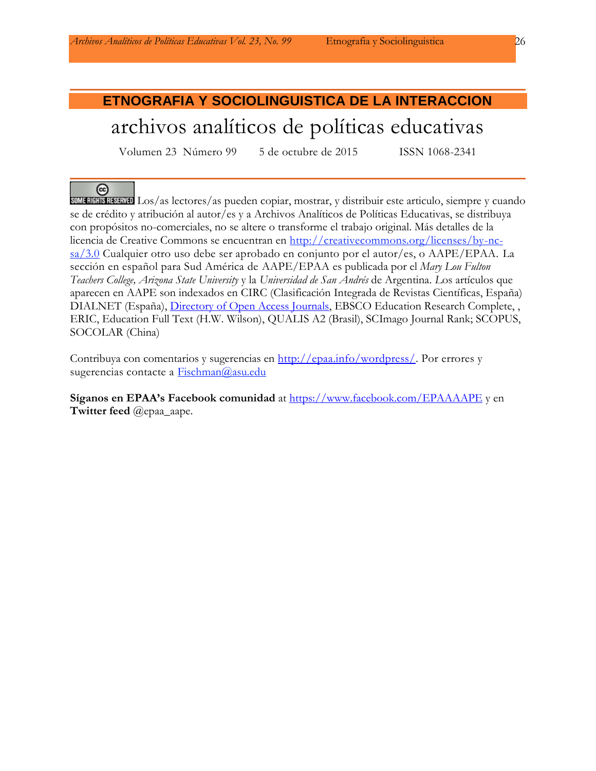# **ETNOGRAFIA Y SOCIOLINGUISTICA DE LA INTERACCION** archivos analíticos de políticas educativas

Volumen 23 Número 99 5 de octubre de 2015 ISSN 1068-2341

#### $\left($

SOMERIGHIS RESERVED Los/as lectores/as pueden copiar, mostrar, y distribuir este articulo, siempre y cuando se de crédito y atribución al autor/es y a Archivos Analíticos de Políticas Educativas, se distribuya con propósitos no-comerciales, no se altere o transforme el trabajo original. Más detalles de la licencia de Creative Commons se encuentran en http://creativecommons.org/licenses/by-ncsa/3.0 Cualquier otro uso debe ser aprobado en conjunto por el autor/es, o AAPE/EPAA. La sección en español para Sud América de AAPE/EPAA es publicada por el *Mary Lou Fulton Teachers College, Arizona State University* y la *Universidad de San Andrés* de Argentina. *L*os artículos que aparecen en AAPE son indexados en CIRC (Clasificación Integrada de Revistas Científicas, España) DIALNET (España), [Directory of Open Access Journals,](http://www.doaj.org/) EBSCO Education Research Complete, , ERIC, Education Full Text (H.W. Wilson), QUALIS A2 (Brasil), SCImago Journal Rank; SCOPUS, SOCOLAR (China)

Contribuya con comentarios y sugerencias en [http://epaa.info/wordpress/.](http://epaa.info/wordpress/) Por errores y sugerencias contacte a Fischman@asu.edu

**Síganos en EPAA's Facebook comunidad** at<https://www.facebook.com/EPAAAAPE> y en **Twitter feed** @epaa\_aape.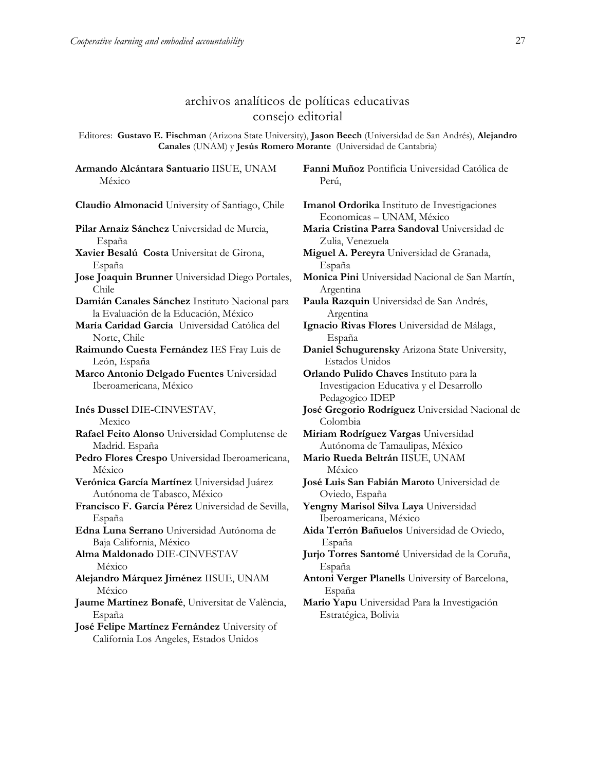## archivos analíticos de políticas educativas consejo editorial

Editores: **Gustavo E. Fischman** (Arizona State University), **Jason Beech** (Universidad de San Andrés), **Alejandro Canales** (UNAM) y **Jesús Romero Morante** (Universidad de Cantabria)

**Armando Alcántara Santuario** IISUE, UNAM México

**Claudio Almonacid** University of Santiago, Chile **Imanol Ordorika** Instituto de Investigaciones **Pilar Arnaiz Sánchez** Universidad de Murcia, España **Xavier Besalú Costa** Universitat de Girona, España **Jose Joaquin Brunner** Universidad Diego Portales, Chile **Damián Canales Sánchez** Instituto Nacional para la Evaluación de la Educación, México **María Caridad García** Universidad Católica del Norte, Chile **Raimundo Cuesta Fernández** IES Fray Luis de León, España **Marco Antonio Delgado Fuentes** Universidad Iberoamericana, México **Inés Dussel** DIE**-**CINVESTAV, Mexico **Rafael Feito Alonso** Universidad Complutense de Madrid. España **Pedro Flores Crespo** Universidad Iberoamericana, México **Verónica García Martínez** Universidad Juárez Autónoma de Tabasco, México **Francisco F. García Pérez** Universidad de Sevilla, España **Edna Luna Serrano** Universidad Autónoma de Baja California, México **Alma Maldonado** DIE-CINVESTAV México **Alejandro Márquez Jiménez** IISUE, UNAM México **Jaume Martínez Bonafé**, Universitat de València, España **José Felipe Martínez Fernández** University of

California Los Angeles, Estados Unidos

**Fanni Muñoz** Pontificia Universidad Católica de Perú,

Economicas – UNAM, México

**Maria Cristina Parra Sandoval** Universidad de Zulia, Venezuela

**Miguel A. Pereyra** Universidad de Granada, España

**Monica Pini** Universidad Nacional de San Martín, Argentina

**Paula Razquin** Universidad de San Andrés, Argentina

**Ignacio Rivas Flores** Universidad de Málaga, España

**Daniel Schugurensky** Arizona State University, Estados Unidos

**Orlando Pulido Chaves** Instituto para la Investigacion Educativa y el Desarrollo Pedagogico IDEP

**José Gregorio Rodríguez** Universidad Nacional de Colombia

**Miriam Rodríguez Vargas** Universidad Autónoma de Tamaulipas, México

**Mario Rueda Beltrán** IISUE, UNAM México

**José Luis San Fabián Maroto** Universidad de Oviedo, España

**Yengny Marisol Silva Laya** Universidad Iberoamericana, México

**Aida Terrón Bañuelos** Universidad de Oviedo, España

**Jurjo Torres Santomé** Universidad de la Coruña, España

**Antoni Verger Planells** University of Barcelona, España

**Mario Yapu** Universidad Para la Investigación Estratégica, Bolivia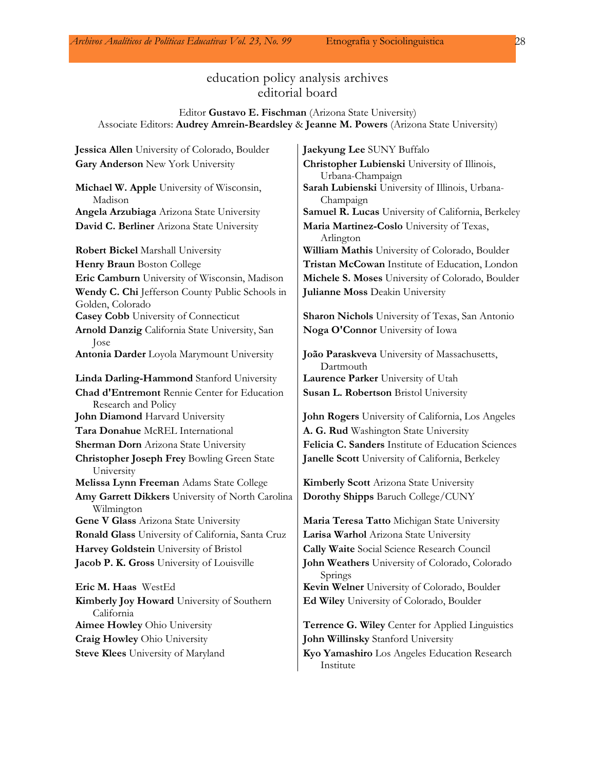## education policy analysis archives editorial board

#### Editor **Gustavo E. Fischman** (Arizona State University) Associate Editors: **Audrey Amrein-Beardsley** & **Jeanne M. Powers** (Arizona State University)

**Jessica Allen** University of Colorado, Boulder **Jaekyung Lee** SUNY Buffalo **Gary Anderson** New York University **Christopher Lubienski** University of Illinois, Urbana-Champaign **Michael W. Apple** University of Wisconsin, Madison **Sarah Lubienski** University of Illinois, Urbana-Champaign **Angela Arzubiaga** Arizona State University **Samuel R. Lucas** University of California, Berkeley **David C. Berliner** Arizona State University **Maria Martinez-Coslo** University of Texas, Arlington **Robert Bickel** Marshall University **William Mathis** University of Colorado, Boulder **Henry Braun** Boston College **Tristan McCowan** Institute of Education, London **Eric Camburn** University of Wisconsin, Madison **Michele S. Moses** University of Colorado, Boulder **Wendy C. Chi** Jefferson County Public Schools in Golden, Colorado **Julianne Moss** Deakin University **Casey Cobb** University of Connecticut **Sharon Nichols** University of Texas, San Antonio **Arnold Danzig** California State University, San Jose **Noga O'Connor** University of Iowa **Antonia Darder** Loyola Marymount University **João Paraskveva** University of Massachusetts, Dartmouth **Linda Darling-Hammond** Stanford University **Laurence Parker** University of Utah **Chad d'Entremont** Rennie Center for Education Research and Policy **Susan L. Robertson** Bristol University **John Diamond** Harvard University **John Rogers** University of California, Los Angeles **Tara Donahue** McREL International **A. G. Rud** Washington State University **Sherman Dorn** Arizona State University **Felicia C. Sanders** Institute of Education Sciences **Christopher Joseph Frey** Bowling Green State University **Janelle Scott** University of California, Berkeley **Melissa Lynn Freeman** Adams State College **Kimberly Scott** Arizona State University **Amy Garrett Dikkers** University of North Carolina Wilmington **Dorothy Shipps** Baruch College/CUNY **Gene V Glass** Arizona State University **Maria Teresa Tatto** Michigan State University **Ronald Glass** University of California, Santa Cruz **Larisa Warhol** Arizona State University **Harvey Goldstein** University of Bristol **Cally Waite** Social Science Research Council **Jacob P. K. Gross** University of Louisville **John Weathers** University of Colorado, Colorado Springs **Eric M. Haas** WestEd **Kevin Welner** University of Colorado, Boulder **Kimberly Joy Howard** University of Southern California **Ed Wiley** University of Colorado, Boulder **Aimee Howley** Ohio University **Terrence G. Wiley** Center for Applied Linguistics **Craig Howley** Ohio University **John Willinsky** Stanford University **Steve Klees** University of Maryland **Kyo Yamashiro** Los Angeles Education Research Institute